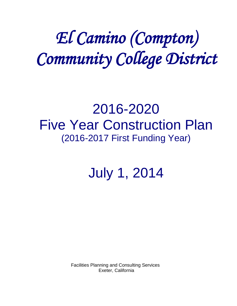# *El Camino (Compton) Community College District*

## 2016-2020 Five Year Construction Plan (2016-2017 First Funding Year)

July 1, 2014

 Facilities Planning and Consulting Services Exeter, California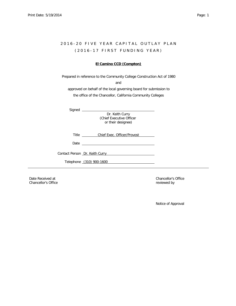## 2016-20 FIVE YEAR CAPITAL OUTLAY PLAN ( 2 0 1 6 - 1 7 F I R S T F U N D I N G Y E A R )

## **El Camino CCD (Compton)**

Prepared in reference to the Community College Construction Act of 1980

and

approved on behalf of the local governing board for submission to the office of the Chancellor, California Community Colleges

| sianec |  |
|--------|--|
|--------|--|

Dr. Keith Curry (Chief Executive Officer or their designee)

Title **Chief Exec. Officer/Provost** 

*Date* 

*Contact Person* Dr. Keith Curry

*Telephone* (310) 900-1600

Chancellor's Office **reviewed** by **chancellor's Office**  $\mathbb{R}^n$ 

Date Received at **Chancellor's Office Chancellor's Office** 

Notice of Approval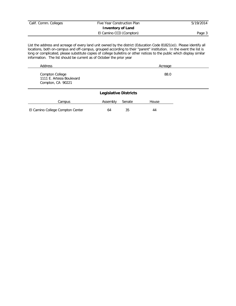| Calif. Comm. Colleges | Five Year Construction Plan | 5/19/2014 |
|-----------------------|-----------------------------|-----------|
|                       | <b>Inventory of Land</b>    |           |
|                       | El Camino CCD (Compton)     | Page 3    |

List the address and acreage of every land unit owned by the district (Education Code 81821(e)). Please identify all locations, both on-campus and off-campus, grouped according to their "parent" institution. In the event the list is long or complicated, please substitute copies of college bulletins or other notices to the public which display similar information. The list should be current as of October the prior year

| Address                                        | Acreage |
|------------------------------------------------|---------|
| Compton College                                | 88.0    |
| 1111 E. Artesia Boulevard<br>Compton, CA 90221 |         |

|                                  | <b>Legislative Districts</b> |        |       |
|----------------------------------|------------------------------|--------|-------|
| Campus                           | Assembly                     | Senate | House |
| El Camino College Compton Center | 64                           | 35     | 44    |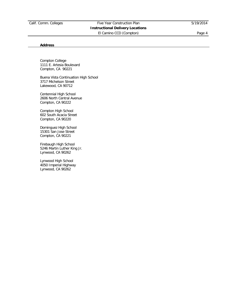## Calif. Comm. Colleges Five Year Construction Plan 5/19/2014 **Instructional Delivery Locations** El Camino CCD (Compton) entrancement and page 4

## **Address**

Compton College 1111 E. Artesia Boulevard Compton, CA 90221

Buena Vista Continuation High School 3717 Michelson Street Lakewood, CA 90712

Centennial High School 2606 North Central Avenue Compton, CA 90222

Compton High School 602 South Acacia Street Compton, CA 90220

Dominguez High School 15301 San Jose Street Compton, CA 90221

Firebaugh High School 5246 Martin Luther King Jr. Lynwood, CA 90262

Lynwood High School 4050 Imperial Highway Lynwood, CA 90262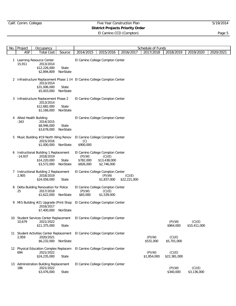## Calif. Comm. Colleges Five Year Construction Plan 5/19/2014 **District Projects Priority Order**

|    | No. Project | Occupancy                                                                                                            |                   |                                                                      |                                       |                        | Schedule of Funds     |                        |                        |           |
|----|-------------|----------------------------------------------------------------------------------------------------------------------|-------------------|----------------------------------------------------------------------|---------------------------------------|------------------------|-----------------------|------------------------|------------------------|-----------|
|    | <b>ASF</b>  | <b>Total Cost</b>                                                                                                    | Source            | 2014/2015                                                            | 2015/2016                             | 2016/2017              | 2017/2018             | 2018/2019              | 2019/2020              | 2020/2021 |
| 1. | 15,911      | Learning Resource Center<br>2013/2014<br>\$12,226,000<br>\$2,894,809                                                 | State<br>NonState | El Camino College Compton Center                                     |                                       |                        |                       |                        |                        |           |
|    |             | 2 Infrastructure Replacement Phase 1 (H El Camino College Compton Center<br>2013/2014<br>\$31,006,000<br>\$5,003,000 | State<br>NonState |                                                                      |                                       |                        |                       |                        |                        |           |
|    |             | 3 Infrastructure Replacement Phase 2<br>2013/2014<br>\$12,682,000<br>\$1,166,000                                     | State<br>NonState | El Camino College Compton Center                                     |                                       |                        |                       |                        |                        |           |
| 4  | $-343$      | Allied Health Building<br>2014/2015<br>\$8,946,000<br>\$3,678,000                                                    | State<br>NonState | El Camino College Compton Center                                     |                                       |                        |                       |                        |                        |           |
|    |             | 5 Music Building #19 North Wing Renov<br>2015/2016<br>\$1,000,000                                                    | NonState          | El Camino College Compton Center<br>(C)<br>\$900,000                 |                                       |                        |                       |                        |                        |           |
| 6  | $-14,937$   | Instructional Building 1 Replacement<br>2018/2019<br>\$14,220,000<br>\$3,572,000                                     | State<br>NonState | El Camino College Compton Center<br>(P)(W)<br>\$782,000<br>\$826,000 | (C)(E)<br>\$13,438,000<br>\$2,746,000 |                        |                       |                        |                        |           |
| 7  | 2,905       | Instructional Building 2 Replacement<br>2018/2019<br>\$24,058,000                                                    | State             | El Camino College Compton Center                                     | (P)(W)<br>\$1,837,000                 | (C)(E)<br>\$22,221,000 |                       |                        |                        |           |
| 8  | 25          | Delta Building Renovation for Police<br>2017/2018<br>\$1,622,000                                                     | NonState          | El Camino College Compton Center<br>(P)(W)<br>\$83,000               | (C)(E)<br>\$1,539,000                 |                        |                       |                        |                        |           |
| 9  |             | MIS Building #21 Upgrade (Print Shop<br>2016/2017<br>\$7,400,000                                                     | NonState          | El Camino College Compton Center                                     |                                       |                        |                       |                        |                        |           |
|    | 10,679      | 10 Student Services Center Replacement<br>2021/2022<br>\$11,375,000                                                  | State             | El Camino College Compton Center                                     |                                       |                        |                       | (P)(W)<br>\$964,000    | (C)(E)<br>\$10,411,000 |           |
|    | 2,959       | 11 Student Activities Center Replacement<br>2020/2021<br>\$6,232,000                                                 | NonState          | El Camino College Compton Center                                     |                                       |                        | (P)(W)<br>\$531,000   | (C)(E)<br>\$5,701,000  |                        |           |
|    | 694         | 12 Physical Education Complex Replacem<br>2021/2022<br>\$24,235,000                                                  | State             | El Camino College Compton Center                                     |                                       |                        | (P)(W)<br>\$1,854,000 | (C)(E)<br>\$22,381,000 |                        |           |
|    | 186         | 13 Administration Building Replacement<br>2021/2022<br>\$3,476,000                                                   | State             | El Camino College Compton Center                                     |                                       |                        |                       | (P)(W)<br>\$340,000    | (C)(E)<br>\$3,136,000  |           |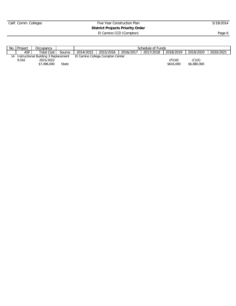## Calif. Comm. Colleges Five Year Construction Plan 5/19/2014 **District Projects Priority Order**

| No. | Project            | Occupancv                            |        | Schedule of Funds |                                  |           |           |           |             |           |  |
|-----|--------------------|--------------------------------------|--------|-------------------|----------------------------------|-----------|-----------|-----------|-------------|-----------|--|
|     | ASF :              | Total Cost                           | Source | 2014/2015         | 2015/2016                        | 2016/2017 | 2017/2018 | 2018/2019 | 2019/2020   | 2020/2021 |  |
|     |                    | Instructional Building 3 Replacement |        |                   | El Camino College Compton Center |           |           |           |             |           |  |
|     | 9.542<br>2021/2022 |                                      |        |                   |                                  |           |           | (P)(W)    | (C)(E)      |           |  |
|     |                    | \$7,496,000                          | State  |                   |                                  |           |           | \$616,000 | \$6,880,000 |           |  |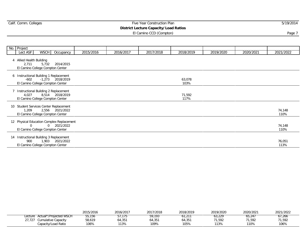## Experiment Commercial Commercial Commercial Commercial Commercial Commercial Commercial Commercial Commercial Commercial Commercial Commercial Commercial Commercial Commercial Commercial Commercial Commercial Commercial Co

**District Lecture Capacity/Load Ratios**

|    | No. Project                                                                               |                    |           |           |           |                |           |           |                |
|----|-------------------------------------------------------------------------------------------|--------------------|-----------|-----------|-----------|----------------|-----------|-----------|----------------|
|    | Lect ASF                                                                                  | WSCH Occupancy     | 2015/2016 | 2016/2017 | 2017/2018 | 2018/2019      | 2019/2020 | 2020/2021 | 2021/2022      |
|    | 4 Allied Health Building<br>2,711<br>5,732<br>El Camino College Compton Center            | 2014/2015          |           |           |           |                |           |           |                |
|    | 6 Instructional Building 1 Replacement<br>-602<br>El Camino College Compton Center        | $-1,273$ 2018/2019 |           |           |           | 63,078<br>103% |           |           |                |
|    | 7 Instructional Building 2 Replacement<br>4,027<br>El Camino College Compton Center       | 8,514 2018/2019    |           |           |           | 71,592<br>117% |           |           |                |
| 10 | Student Services Center Replacement<br>1,209<br>El Camino College Compton Center          | 2,556 2021/2022    |           |           |           |                |           |           | 74,148<br>110% |
|    | 12 Physical Education Complex Replacement<br>$\Omega$<br>El Camino College Compton Center | 0 2021/2022        |           |           |           |                |           |           | 74,148<br>110% |
| 14 | Instructional Building 3 Replacement<br>900<br>El Camino College Compton Center           | 1,903 2021/2022    |           |           |           |                |           |           | 76,051<br>113% |

|                                   | 2015/2016 | 2016/2017            | 2017/2018 | 2018/2019       | 2019/2020 | 2020/2021 | 2021/2022 |
|-----------------------------------|-----------|----------------------|-----------|-----------------|-----------|-----------|-----------|
| Actual*/Projected WSCH<br>.ecture | 55,156    | $\sqrt{h}$<br>37,173 | 59,193    | 0 I , Z I       | 63,229    | 65,247    | 67.266    |
| 27,727<br>Cumulative Capacity     | 58,619    | 54,351               | 64,351    | (1.25)<br>64,35 | 71,592    | 71,592    | 71,592    |
| Capacity/Load Ratio               | 106%      | 113%                 | 109%      | 105%            | 13%       | 110%      | 106%      |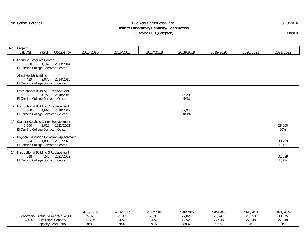| Calif. Comm. Colleges |  |  |  |
|-----------------------|--|--|--|
|-----------------------|--|--|--|

## Calif. Comm. Comm. Comm. Comm. Comm. Comm. Comm. Comm. Comm. Comm. Comm. Comm. Comm. Comm. Comm. Comm. Comm. Comm. Comm. Comm. Comm. Comm. Comm. Comm. Comm. Comm. Comm. Comm. Comm. Comm. Comm. Comm. Comm. Comm. Comm. Comm.

**District Laboratory Capacity/Load Ratios**

El Camino CCD (Compton) Page 8

No. Project Lab ASF WSCH Occupancy 2015/2016 2016/2017 2017/2018 2018/2019 2019/2020 2020/2021 2021/2022 1 Learning Resource Center 3,000 1,167 2013/2014 El Camino College Compton Center 4 Allied Health Building 4,429 2,070 2014/2015 El Camino College Compton Center 6 Instructional Building 1 Replacement 1,981 1,758 2018/2019 26,281 El Camino College Compton Center 94% 7 Instructional Building 2 Replacement 2,000 1,666 2018/2019 27,948 El Camino College Compton Center 100% 10 Student Services Center Replacement<br>2,600 1,012 2021/2022 2,600 1,012 2021/2022 28,960 El Camino College Compton Center 95% 12 Physical Education Complex Replacement<br>5,904 1,839 2021/2022 5,904 1,839 2021/2022 30,799 El Camino College Compton Center 101% 14 Instructional Building 3 Replacement<br>618 240 2021/2022 618 240 2021/2022 31,039 El Camino College Compton Center 102%

|                                      | 2015/2016 | 2016/2017 | 2017/2018 | 2018/2019        | 2019/2020 | 2020/2021 | 2021/2022 |
|--------------------------------------|-----------|-----------|-----------|------------------|-----------|-----------|-----------|
| Actual*/Projected WSCH<br>_aboratory | 25,071    | 25,989    | 26,906    | פפס דפ<br>21,823 | 28,74     | 29,658    | 30,575    |
| 60,801<br>Cumulative Capacity        | 21,286    | 24,523    | 24,523    | 24,523           | 27,948    | 27.948    | 27,948    |
| Capacity/Load Ratio                  | 85%       | 94%       | 91%       | 88%              | 97%       | 94%       | 91%       |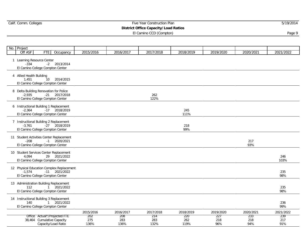## Calif. Comm. Colleges Five Year Construction Plan 5/19/2014

## **District Office Capacity/Load Ratios**

| No. Project                          |                                  |                                                                                                  |                    |                    |                    |                    |                   |                   |                   |
|--------------------------------------|----------------------------------|--------------------------------------------------------------------------------------------------|--------------------|--------------------|--------------------|--------------------|-------------------|-------------------|-------------------|
| Off ASF                              | FTE <sup>1</sup>                 | Occupancy                                                                                        | 2015/2016          | 2016/2017          | 2017/2018          | 2018/2019          | 2019/2020         | 2020/2021         | 2021/2022         |
| 1 Learning Resource Center<br>$-334$ |                                  | $-2$ 2013/2014<br>El Camino College Compton Center                                               |                    |                    |                    |                    |                   |                   |                   |
| 4 Allied Health Building<br>1,451    | El Camino College Compton Center | 10 2014/2015                                                                                     |                    |                    |                    |                    |                   |                   |                   |
| $-2,935$                             |                                  | 8 Delta Building Renovation for Police<br>$-21$ $2017/2018$<br>El Camino College Compton Center  |                    |                    | 262<br>122%        |                    |                   |                   |                   |
| $-2,364$                             | El Camino College Compton Center | 6 Instructional Building 1 Replacement<br>$-17$ 2018/2019                                        |                    |                    |                    | 245<br>111%        |                   |                   |                   |
| $-3.761$                             |                                  | 7 Instructional Building 2 Replacement<br>$-27$ 2018/2019<br>El Camino College Compton Center    |                    |                    |                    | 218<br>99%         |                   |                   |                   |
| $-208$                               |                                  | 11 Student Activities Center Replacement<br>$-1$ 2020/2021<br>El Camino College Compton Center   |                    |                    |                    |                    |                   | 217<br>93%        |                   |
| 4.094                                |                                  | 10 Student Services Center Replacement<br>29 2021/2022<br>El Camino College Compton Center       |                    |                    |                    |                    |                   |                   | 246<br>103%       |
| $-1.574$                             |                                  | 12 Physical Education Complex Replacement<br>$-11$ 2021/2022<br>El Camino College Compton Center |                    |                    |                    |                    |                   |                   | 235<br>98%        |
| 112                                  | El Camino College Compton Center | 13 Administration Building Replacement<br>1 2021/2022                                            |                    |                    |                    |                    |                   |                   | 235<br>98%        |
| 140                                  | El Camino College Compton Center | 14 Instructional Building 3 Replacement<br>1 2021/2022                                           |                    |                    |                    |                    |                   |                   | 236<br>99%        |
|                                      |                                  |                                                                                                  | 2015/2016          | 2016/2017          | 2017/2018          | 2018/2019          | 2019/2020         | 2020/2021         | 2021/2022         |
|                                      | 38,464 Cumulative Capacity       | Office Actual*/Projected FTE<br>Capacity/Load Ratio                                              | 202<br>275<br>136% | 208<br>283<br>136% | 214<br>283<br>132% | 220<br>262<br>119% | 227<br>218<br>96% | 233<br>218<br>94% | 239<br>217<br>91% |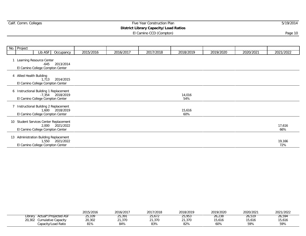## Expediance Five Year Construction Plan 5/19/2014 5/19/2014

#### **District Library Capacity/Load Ratios**

|    | No. Project              |                                                                      |                                                            |           |           |           |               |           |           |               |
|----|--------------------------|----------------------------------------------------------------------|------------------------------------------------------------|-----------|-----------|-----------|---------------|-----------|-----------|---------------|
|    |                          | Lib ASF                                                              | Occupancy                                                  | 2015/2016 | 2016/2017 | 2017/2018 | 2018/2019     | 2019/2020 | 2020/2021 | 2021/2022     |
|    |                          | Learning Resource Center<br>-645<br>El Camino College Compton Center | 2013/2014                                                  |           |           |           |               |           |           |               |
|    | 4 Allied Health Building | 1,713<br>El Camino College Compton Center                            | 2014/2015                                                  |           |           |           |               |           |           |               |
|    |                          | El Camino College Compton Center                                     | 6 Instructional Building 1 Replacement<br>-7,354 2018/2019 |           |           |           | 14,016<br>54% |           |           |               |
|    |                          | 1,600<br>El Camino College Compton Center                            | 7 Instructional Building 2 Replacement<br>2018/2019        |           |           |           | 15,616<br>60% |           |           |               |
| 10 |                          | El Camino College Compton Center                                     | Student Services Center Replacement<br>2,000 2021/2022     |           |           |           |               |           |           | 17,616<br>66% |
|    |                          | El Camino College Compton Center                                     | 13 Administration Building Replacement<br>1,550 2021/2022  |           |           |           |               |           |           | 19,166<br>72% |

|                                  | 2015/2016 | 2016/2017    | 2017/2018    | 2018/2019           | 2019/2020 | 2020/2021 | 2021/2022 |
|----------------------------------|-----------|--------------|--------------|---------------------|-----------|-----------|-----------|
| Actual*/Projected ASF<br>∟ibrarv | 25.109    | 25,391       | .<br>25.672  | $- - - -$<br>25,953 | 26.238    | 26.519    | 26,594    |
| 20,302<br>Cumulative Capacity    | 20,302    | 21,370       | 21,370       | 21,370              | 15,616    | 15,616    | 15,616    |
| Capacity/Load Ratio              | 81%       | QAO<br>O4 70 | 020<br>0J 70 | 82%                 | 60%       | 59%       | 59%       |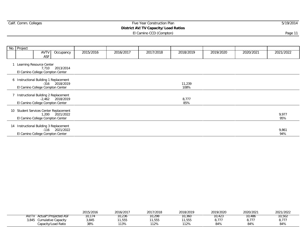## Calif. Comm. Colleges Five Year Construction Plan 5/19/2014 **District AV/TV Capacity/Load Ratios**

| No. Project |                                                                                                  |           |           |           |                |           |           |              |
|-------------|--------------------------------------------------------------------------------------------------|-----------|-----------|-----------|----------------|-----------|-----------|--------------|
|             | <b>AVTV</b><br>Occupancy<br><b>ASF</b>                                                           | 2015/2016 | 2016/2017 | 2017/2018 | 2018/2019      | 2019/2020 | 2020/2021 | 2021/2022    |
|             | Learning Resource Center<br>7,710 2013/2014<br>El Camino College Compton Center                  |           |           |           |                |           |           |              |
|             | 6 Instructional Building 1 Replacement<br>-316 2018/2019<br>El Camino College Compton Center     |           |           |           | 11,239<br>108% |           |           |              |
|             | 7 Instructional Building 2 Replacement<br>$-2,462$ 2018/2019<br>El Camino College Compton Center |           |           |           | 8,777<br>85%   |           |           |              |
|             | 10 Student Services Center Replacement<br>1,200 2021/2022<br>El Camino College Compton Center    |           |           |           |                |           |           | 9,977<br>95% |
|             | 14 Instructional Building 3 Replacement<br>$-116$ 2021/2022<br>El Camino College Compton Center  |           |           |           |                |           |           | 9,861<br>94% |

|                                | 2015/2016 | 2016/2017 | 2017/2018 | 2018/2019 | 2019/2020 | 2020/2021 | 2021/2022        |
|--------------------------------|-----------|-----------|-----------|-----------|-----------|-----------|------------------|
| AV/TV<br>Actual*/Projected ASF | 10,174    | 10,236    | 10.298    | 10,360    | 10.423    | 10,486    | 10,502           |
| 3,845<br>Cumulative Capacity   | 3,845     | 1,555     | 11,555    | 1,555     | ---       | , 77      | 0.777<br>O, I, I |
| Capacity/Load Ratio            | 38%       | 113%      | 112%      | 112%      | 84%       | 84%       | 84%              |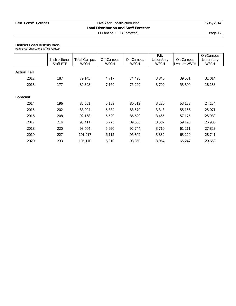#### **District Load Distribution**

Reference: Chancellor's Office Forecast

|                    | Instructional<br>Staff FTE | <b>Total Campus</b><br><b>WSCH</b> | Off-Campus<br><b>WSCH</b> | On-Campus<br><b>WSCH</b> | P.E.<br>Laboratory<br><b>WSCH</b> | On-Campus<br>Lecture WSCH | On-Campus<br>Laboratory<br><b>WSCH</b> |
|--------------------|----------------------------|------------------------------------|---------------------------|--------------------------|-----------------------------------|---------------------------|----------------------------------------|
| <b>Actual Fall</b> |                            |                                    |                           |                          |                                   |                           |                                        |
| 2012               | 187                        | 79,145                             | 4,717                     | 74,428                   | 3,840                             | 39,581                    | 31,014                                 |
| 2013               | 177                        | 82,398                             | 7,169                     | 75,229                   | 3,709                             | 53,390                    | 18,138                                 |
|                    |                            |                                    |                           |                          |                                   |                           |                                        |
| Forecast           |                            |                                    |                           |                          |                                   |                           |                                        |
| 2014               | 196                        | 85,651                             | 5,139                     | 80,512                   | 3,220                             | 53,138                    | 24,154                                 |
| 2015               | 202                        | 88,904                             | 5,334                     | 83,570                   | 3,343                             | 55,156                    | 25,071                                 |
| 2016               | 208                        | 92,158                             | 5,529                     | 86,629                   | 3,465                             | 57,175                    | 25,989                                 |
| 2017               | 214                        | 95,411                             | 5,725                     | 89,686                   | 3,587                             | 59,193                    | 26,906                                 |
| 2018               | 220                        | 98,664                             | 5,920                     | 92,744                   | 3,710                             | 61,211                    | 27,823                                 |
| 2019               | 227                        | 101,917                            | 6,115                     | 95,802                   | 3,832                             | 63,229                    | 28,741                                 |
| 2020               | 233                        | 105,170                            | 6,310                     | 98,860                   | 3,954                             | 65,247                    | 29,658                                 |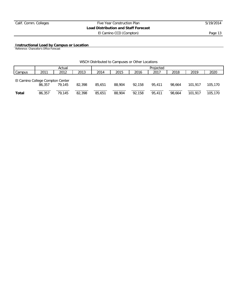**Instructional Load by Campus or Location**

Reference: Chancellor's Office Forecast

| WSCH Distributed to Campuses or Other Locations |  |  |  |  |  |
|-------------------------------------------------|--|--|--|--|--|
|-------------------------------------------------|--|--|--|--|--|

|                                  |        | Actual |        |        |        |        | Projected |        |         |         |
|----------------------------------|--------|--------|--------|--------|--------|--------|-----------|--------|---------|---------|
| Campus                           | 2011   | 2012   | 2013   | 2014   | 2015   | 2016   | 2017      | 2018   | 2019    | 2020    |
| El Camino College Compton Center | 86,357 | 79.145 | 82,398 | 85,651 | 88,904 | 92.158 | 95,411    | 98.664 | 101.917 | 105,170 |
| Total                            | 86,357 | 79.145 | 82,398 | 85,651 | 88,904 | 92,158 | 95.411    | 98,664 | 101.917 | 105,170 |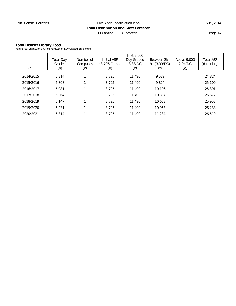## **Total District Library Load**

|  | Reference: Chancellor's Office Forecast of Day-Graded Enrollment |  |  |  |
|--|------------------------------------------------------------------|--|--|--|

| (a)       | Total Day-<br>Graded<br>(b) | Number of<br>Campuses<br>(C) | Initial ASF<br>(3,795/Camp)<br>(d) | First 3,000<br>Day Graded<br>(3.83/DG)<br>(e) | Between 3k -<br>9k (3.39/DG) | Above 9,000<br>(2.94/DG)<br>(g) | <b>Total ASF</b><br>$(d+e+f+g)$ |
|-----------|-----------------------------|------------------------------|------------------------------------|-----------------------------------------------|------------------------------|---------------------------------|---------------------------------|
| 2014/2015 | 5,814                       |                              | 3.795                              | 11,490                                        | 9,539                        |                                 | 24,824                          |
| 2015/2016 | 5,898                       |                              | 3.795                              | 11,490                                        | 9.824                        |                                 | 25,109                          |
| 2016/2017 | 5,981                       |                              | 3.795                              | 11,490                                        | 10,106                       |                                 | 25,391                          |
| 2017/2018 | 6.064                       |                              | 3.795                              | 11,490                                        | 10,387                       |                                 | 25,672                          |
| 2018/2019 | 6,147                       |                              | 3.795                              | 11,490                                        | 10,668                       |                                 | 25,953                          |
| 2019/2020 | 6.231                       |                              | 3.795                              | 11,490                                        | 10.953                       |                                 | 26,238                          |
| 2020/2021 | 6.314                       |                              | 3.795                              | 11,490                                        | 11,234                       |                                 | 26.519                          |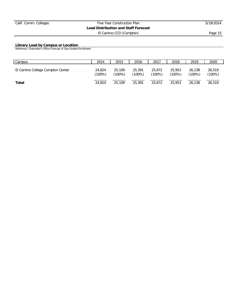#### **Library Load by Campus or Location**

Reference: Chancellor's Office Forecast of Day-Graded Enrollment

| Campus                           | 2014             | 2015             | 2016             | 2017             | 2018                | 2019             | 2020            |
|----------------------------------|------------------|------------------|------------------|------------------|---------------------|------------------|-----------------|
| El Camino College Compton Center | 24,824<br>(100%) | 25,109<br>(100%) | 25,391<br>(100%) | 25,672<br>(100%) | 25,953<br>$(100\%)$ | 26,238<br>(100%) | 26,519<br>100%) |
| Total                            | 24.824           | 25,109           | 25,391           | 25.672           | 25,953              | 26,238           | 26,519          |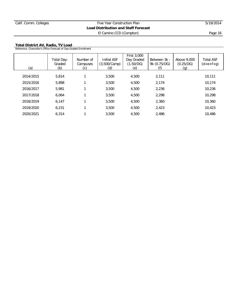**Total District AV, Radio, TV Load**

| Reference: Chancellor's Office Forecast of Day-Graded Enrollment |                             |                             |                                    |                                               |                              |                                 |                                 |  |  |  |  |  |
|------------------------------------------------------------------|-----------------------------|-----------------------------|------------------------------------|-----------------------------------------------|------------------------------|---------------------------------|---------------------------------|--|--|--|--|--|
| (a)                                                              | Total Day-<br>Graded<br>(b) | Number of<br>Campuses<br>C) | Initial ASF<br>(3,500/Camp)<br>(d) | First 3,000<br>Day Graded<br>(1.50/DG)<br>(e) | Between 3k -<br>9k (0.75/DG) | Above 9,000<br>(0.25/DG)<br>(q) | <b>Total ASF</b><br>$(d+e+f+g)$ |  |  |  |  |  |
| 2014/2015                                                        | 5,814                       |                             | 3,500                              | 4,500                                         | 2,111                        |                                 | 10,111                          |  |  |  |  |  |
| 2015/2016                                                        | 5,898                       |                             | 3,500                              | 4,500                                         | 2,174                        |                                 | 10,174                          |  |  |  |  |  |
| 2016/2017                                                        | 5,981                       |                             | 3,500                              | 4,500                                         | 2,236                        |                                 | 10,236                          |  |  |  |  |  |
| 2017/2018                                                        | 6,064                       |                             | 3,500                              | 4,500                                         | 2,298                        |                                 | 10,298                          |  |  |  |  |  |
| 2018/2019                                                        | 6,147                       |                             | 3,500                              | 4,500                                         | 2,360                        |                                 | 10,360                          |  |  |  |  |  |
| 2019/2020                                                        | 6,231                       |                             | 3,500                              | 4,500                                         | 2,423                        |                                 | 10,423                          |  |  |  |  |  |
| 2020/2021                                                        | 6.314                       |                             | 3,500                              | 4,500                                         | 2,486                        |                                 | 10,486                          |  |  |  |  |  |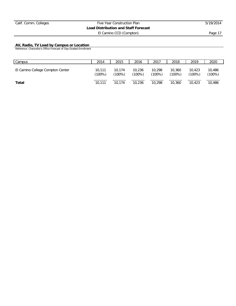#### **AV, Radio, TV Load by Campus or Location**

Reference: Chancellor's Office Forecast of Day-Graded Enrollment

| Campus                           | 2014             | 2015             | 2016             | 2017             | 2018                | 2019            | 2020            |
|----------------------------------|------------------|------------------|------------------|------------------|---------------------|-----------------|-----------------|
| El Camino College Compton Center | 10.111<br>(100%) | 10.174<br>(100%) | 10.236<br>(100%) | 10.298<br>(100%) | 10,360<br>$(100\%)$ | 10.423<br>(100% | 10,486<br>100%) |
| Total                            | 10.111           | 10.174           | 10,236           | 10,298           | 10,360              | 10.423          | 10,486          |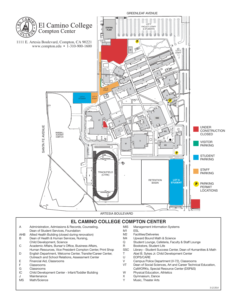

- C Academic Affairs, Bursar's Office, Business Affairs,
- Human Resources, Vice President Compton Center, Print Shop D English Department, Welcome Center, Transfer/Career Center, Outreach and School Relations, Assessment Center
- E Financial Aid, Classrooms
- 
- F Classrooms<br>G Classrooms
- G Classrooms<br>IC Child Develo IC Child Development Center - Infant/Toddler Building
- J Maintenance
- MS Math/Science
- R Bookstore, Student Life<br>SSC Library Student Succes
- Library Student Success Center, Dean of Humanities & Math T Abel B. Sykes Jr. Child Development Center
- U EOPS/CARE
- V Campus Police Department (V-72), Classrooms
- VT Dean of Social Sciences, Art and Career Technical Education, CalWORKs, Special Resource Center (DSP&S)
- W Physical Education, Athletics
- X Gymnasium, Dance<br>Y Music Theater Arts
- Music, Theater Arts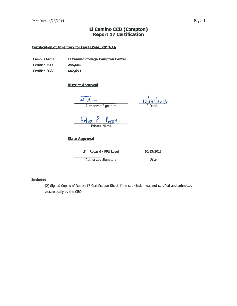## **El Camino CCD (Compton) Report 17 Certification**

## **Certification of Inventory for Fiscal Year: 2013-14**

Campus Name: El Camino College Compton Center Certified ASF: 245,605 Certified OGSF: 442,691

## **District Approval**

Authorized Signature

 $10/17/2013$ 

Felipe P. Coper.

## **State Approval**

Jim Rogaski - FPU Level

10/23/2013

**Authorized Signature** 

Date

### **Included:**

(2) Signed Copies of Report 17 Certification Sheet if the submission was not certified and submitted electronically by the CBO.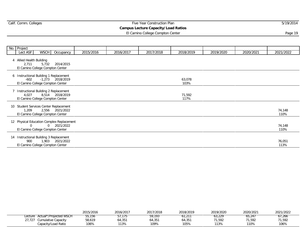## Expediance Five Year Construction Plan 5/19/2014 5/19/2014

#### **Campus Lecture Capacity/Load Ratios**

El Camino College Compton Center **Page 19** and the control of the control of the control of the control of the control of the control of the control of the control of the control of the control of the control of the contro

|    | No. Project                                                           |             |                                                            |           |           |           |                |           |           |                |
|----|-----------------------------------------------------------------------|-------------|------------------------------------------------------------|-----------|-----------|-----------|----------------|-----------|-----------|----------------|
|    | Lect ASF                                                              | <b>WSCH</b> | Occupancy                                                  | 2015/2016 | 2016/2017 | 2017/2018 | 2018/2019      | 2019/2020 | 2020/2021 | 2021/2022      |
|    | 4 Allied Health Building<br>2.711<br>El Camino College Compton Center | 5,732       | 2014/2015                                                  |           |           |           |                |           |           |                |
|    | $-602$<br>El Camino College Compton Center                            |             | 6 Instructional Building 1 Replacement<br>-1,273 2018/2019 |           |           |           | 63,078<br>103% |           |           |                |
|    | 4,027<br>El Camino College Compton Center                             |             | Instructional Building 2 Replacement<br>8,514 2018/2019    |           |           |           | 71,592<br>117% |           |           |                |
| 10 | 1,209<br>El Camino College Compton Center                             |             | Student Services Center Replacement<br>2,556 2021/2022     |           |           |           |                |           |           | 74,148<br>110% |
|    | $\Omega$<br>El Camino College Compton Center                          |             | 12 Physical Education Complex Replacement<br>0 2021/2022   |           |           |           |                |           |           | 74,148<br>110% |
| 14 | 900<br>El Camino College Compton Center                               |             | Instructional Building 3 Replacement<br>1,903 2021/2022    |           |           |           |                |           |           | 76,051<br>113% |

|                                   | 2015/2016 | 2016/2017 | 2017/2018           | 2018/2019   | 2019/2020 | 2020/2021 | 2021/2022 |
|-----------------------------------|-----------|-----------|---------------------|-------------|-----------|-----------|-----------|
| Actual*/Projected WSCH<br>Lecture | 55,156    |           | 59.193              |             | 63.229    | 65.247    | 61.266    |
| 27,727<br>Cumulative Capacity     | 58,619    | 64,351    | 4,35 <sup>-</sup> ء | マト<br>ບ4,ວບ | 71,592    | 1,592     | 71,592    |
| Capacity/Load Ratio               | 106%      | 113%      | 109%                | 105%        | 113%      | 110%      | 106%      |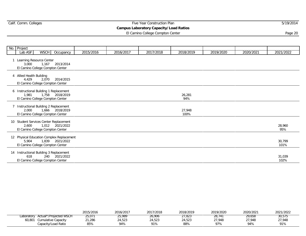|  |  | Calif. Comm. Colleges |
|--|--|-----------------------|
|--|--|-----------------------|

 $\sim$ 

## Expediance Five Year Construction Plan 5/19/2014 5/19/2014

**Campus Laboratory Capacity/Load Ratios**

El Camino College Compton Center **Page 20** and 20 and 20 and 20 and 20 and 20 and 20 and 20 and 20 and 20 and 20 and 20 and 20 and 20 and 20 and 20 and 20 and 20 and 20 and 20 and 20 and 20 and 20 and 20 and 20 and 20 and

| No. Project                       |                                                                                                  |           |           |           |                |           |           |                |
|-----------------------------------|--------------------------------------------------------------------------------------------------|-----------|-----------|-----------|----------------|-----------|-----------|----------------|
| Lab ASF                           | <b>WSCH</b><br>Occupancy                                                                         | 2015/2016 | 2016/2017 | 2017/2018 | 2018/2019      | 2019/2020 | 2020/2021 | 2021/2022      |
| 3,000                             | 1 Learning Resource Center<br>1,167 2013/2014<br>El Camino College Compton Center                |           |           |           |                |           |           |                |
| 4 Allied Health Building<br>4,429 | 2,070<br>2014/2015<br>El Camino College Compton Center                                           |           |           |           |                |           |           |                |
| 1.981                             | 6 Instructional Building 1 Replacement<br>1,758 2018/2019<br>El Camino College Compton Center    |           |           |           | 26,281<br>94%  |           |           |                |
| 2.000                             | 7 Instructional Building 2 Replacement<br>1,666 2018/2019<br>El Camino College Compton Center    |           |           |           | 27,948<br>100% |           |           |                |
| 2.600                             | 10 Student Services Center Replacement<br>1,012 2021/2022<br>El Camino College Compton Center    |           |           |           |                |           |           | 28,960<br>95%  |
| 5.904                             | 12 Physical Education Complex Replacement<br>1,839 2021/2022<br>El Camino College Compton Center |           |           |           |                |           |           | 30,799<br>101% |
| 618                               | 14 Instructional Building 3 Replacement<br>240 2021/2022<br>El Camino College Compton Center     |           |           |           |                |           |           | 31,039<br>102% |

|        |                                   | 2015/2016 | 2016/2017 | 2017/2018 | 2018/2019 | 2019/2020 | 2020/2021 | 2021/2022 |
|--------|-----------------------------------|-----------|-----------|-----------|-----------|-----------|-----------|-----------|
|        | Laboratory Actual*/Projected WSCH | 25,071    | 25.989    | 26,906    | 21,823    | 28,741    | 29,658    | 30,575    |
| 60,801 | Cumulative Capacity               | 21,286    | 24,523    | 24,523    | 24,523    | 27,948    | 27.948    | 27,948    |
|        | Capacity/Load Ratio               | 85%       | 94%       | 91%       | 88%       | 97%       | 94%       | 91%       |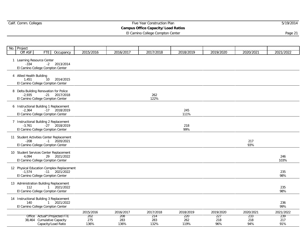## Calif. Comm. Colleges Five Year Construction Plan 5/19/2014

## **Campus Office Capacity/Load Ratios**

El Camino College Compton Center **Page 21** 

| No. | Project                              |                                                                                                  |             |             |             |             |            |            |             |
|-----|--------------------------------------|--------------------------------------------------------------------------------------------------|-------------|-------------|-------------|-------------|------------|------------|-------------|
|     | Off ASF                              | Occupancy<br>FTE I                                                                               | 2015/2016   | 2016/2017   | 2017/2018   | 2018/2019   | 2019/2020  | 2020/2021  | 2021/2022   |
|     | 1 Learning Resource Center<br>$-334$ | $-2$ 2013/2014<br>El Camino College Compton Center                                               |             |             |             |             |            |            |             |
|     | 4 Allied Health Building<br>1.451    | 10 2014/2015<br>El Camino College Compton Center                                                 |             |             |             |             |            |            |             |
|     | $-2,935$                             | 8 Delta Building Renovation for Police<br>$-21$ 2017/2018<br>El Camino College Compton Center    |             |             | 262<br>122% |             |            |            |             |
|     | $-2,364$                             | 6 Instructional Building 1 Replacement<br>$-17$ 2018/2019<br>El Camino College Compton Center    |             |             |             | 245<br>111% |            |            |             |
|     | $-3,761$                             | 7 Instructional Building 2 Replacement<br>-27 2018/2019<br>El Camino College Compton Center      |             |             |             | 218<br>99%  |            |            |             |
|     | $-208$                               | 11 Student Activities Center Replacement<br>$-1$ 2020/2021<br>El Camino College Compton Center   |             |             |             |             |            | 217<br>93% |             |
|     | 4.094                                | 10 Student Services Center Replacement<br>29 2021/2022<br>El Camino College Compton Center       |             |             |             |             |            |            | 246<br>103% |
|     | $-1.574$                             | 12 Physical Education Complex Replacement<br>$-11$ 2021/2022<br>El Camino College Compton Center |             |             |             |             |            |            | 235<br>98%  |
|     | 112                                  | 13 Administration Building Replacement<br>1 2021/2022<br>El Camino College Compton Center        |             |             |             |             |            |            | 235<br>98%  |
|     | 140                                  | 14 Instructional Building 3 Replacement<br>1 2021/2022<br>El Camino College Compton Center       |             |             |             |             |            |            | 236<br>99%  |
|     |                                      |                                                                                                  | 2015/2016   | 2016/2017   | 2017/2018   | 2018/2019   | 2019/2020  | 2020/2021  | 2021/2022   |
|     |                                      | Office Actual*/Projected FTE                                                                     | 202         | 208         | 214         | 220         | 227        | 233        | 239         |
|     |                                      | 38,464 Cumulative Capacity<br>Capacity/Load Ratio                                                | 275<br>136% | 283<br>136% | 283<br>132% | 262<br>119% | 218<br>96% | 218<br>94% | 217<br>91%  |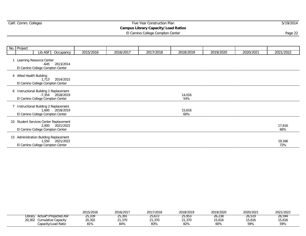## Expediance Five Year Construction Plan 5/19/2014 5/19/2014

#### **Campus Library Capacity/Load Ratios**

El Camino College Compton Center **Page 22** and 22 and 22 and 22 and 22 and 22 and 22 and 22 and 22 and 22 and 22 and 22 and 22 and 22 and 22 and 22 and 22 and 22 and 22 and 22 and 22 and 22 and 22 and 22 and 22 and 22 and

| No. Project              |                                                                      |                                                            |           |           |           |               |           |           |               |
|--------------------------|----------------------------------------------------------------------|------------------------------------------------------------|-----------|-----------|-----------|---------------|-----------|-----------|---------------|
|                          | Lib ASF                                                              | Occupancy                                                  | 2015/2016 | 2016/2017 | 2017/2018 | 2018/2019     | 2019/2020 | 2020/2021 | 2021/2022     |
|                          | Learning Resource Center<br>-645<br>El Camino College Compton Center | 2013/2014                                                  |           |           |           |               |           |           |               |
| 4 Allied Health Building | 1,713<br>El Camino College Compton Center                            | 2014/2015                                                  |           |           |           |               |           |           |               |
|                          | El Camino College Compton Center                                     | 6 Instructional Building 1 Replacement<br>-7,354 2018/2019 |           |           |           | 14,016<br>54% |           |           |               |
|                          | El Camino College Compton Center                                     | Instructional Building 2 Replacement<br>1,600 2018/2019    |           |           |           | 15,616<br>60% |           |           |               |
|                          | El Camino College Compton Center                                     | 10 Student Services Center Replacement<br>2,000 2021/2022  |           |           |           |               |           |           | 17,616<br>66% |
|                          | El Camino College Compton Center                                     | 13 Administration Building Replacement<br>1,550 2021/2022  |           |           |           |               |           |           | 19,166<br>72% |

|                                  | 2015/2016 | 2016/2017 | 2017/2018 | 2018/2019 | 2019/2020 | 2020/2021 | 2021/2022 |
|----------------------------------|-----------|-----------|-----------|-----------|-----------|-----------|-----------|
| Actual*/Projected ASF<br>∟ibrary | 25,109    | 25,391    | 25,672    | 25,953    | 26,238    | 26,519    | 26,594    |
| 20,302<br>Cumulative Capacity    | 20,302    | 1,370     | 21,370    | ,370      | 15,616    | 15,616    | 15.616    |
| Capacity/Load Ratio              | 81%       | 84%       | 83%       | 82%       | 60%       | 59%       | 59%       |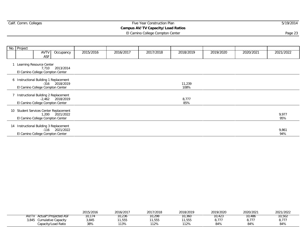## Expediance Five Year Construction Plan 5/19/2014 5/19/2014

## **Campus AV/TV Capacity/Load Ratios**

El Camino College Compton Center **Page 23** and 23 and 23 and 23 and 23 and 23 and 23 and 23 and 23 and 23 and 23 and 23 and 23 and 24 and 25 and 26 and 26 and 26 and 26 and 26 and 26 and 26 and 26 and 26 and 26 and 26 and

| No. Project |                                                                                                 |           |           |           |                |           |           |              |
|-------------|-------------------------------------------------------------------------------------------------|-----------|-----------|-----------|----------------|-----------|-----------|--------------|
|             | <b>AVTV</b><br>Occupancy<br>ASF                                                                 | 2015/2016 | 2016/2017 | 2017/2018 | 2018/2019      | 2019/2020 | 2020/2021 | 2021/2022    |
|             | Learning Resource Center<br>7,710 2013/2014<br>El Camino College Compton Center                 |           |           |           |                |           |           |              |
|             | 6 Instructional Building 1 Replacement<br>-316 2018/2019<br>El Camino College Compton Center    |           |           |           | 11,239<br>108% |           |           |              |
|             | Instructional Building 2 Replacement<br>$-2,462$ 2018/2019<br>El Camino College Compton Center  |           |           |           | 8,777<br>85%   |           |           |              |
| 10          | Student Services Center Replacement<br>1,200 2021/2022<br>El Camino College Compton Center      |           |           |           |                |           |           | 9,977<br>95% |
|             | 14 Instructional Building 3 Replacement<br>$-116$ 2021/2022<br>El Camino College Compton Center |           |           |           |                |           |           | 9,861<br>94% |

|                                | 2015/2016 | 2016/2017 | 2017/2018 | 2018/2019 | 2019/2020 | 2020/2021     | 2021/2022     |
|--------------------------------|-----------|-----------|-----------|-----------|-----------|---------------|---------------|
| AV/T\<br>Actual*/Projected ASF | 10.174    | 10.236    | 10.298    | 10,360    | 10.423    | 10.486        | 10.502        |
| 3,845<br>Cumulative Capacity   | 3,845     | 1,555     | 11,555    | 1,555     | ---       | , 777<br>,,,, | 0.777<br>O,II |
| Capacity/Load Ratio            | 38%       | 113%      | 112%      | 112%      | 84%       | 84%           | 84%           |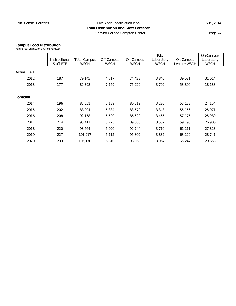El Camino College Compton Center **Page 24** 

**Campus Load Distribution** Reference: Chancellor's Office Forecast

|                    |               |                     |             |             | P.E.        |              | On-Campus   |
|--------------------|---------------|---------------------|-------------|-------------|-------------|--------------|-------------|
|                    | Instructional | <b>Total Campus</b> | Off-Campus  | On-Campus   | Laboratory  | On-Campus    | Laboratory  |
|                    | Staff FTE     | <b>WSCH</b>         | <b>WSCH</b> | <b>WSCH</b> | <b>WSCH</b> | Lecture WSCH | <b>WSCH</b> |
|                    |               |                     |             |             |             |              |             |
| <b>Actual Fall</b> |               |                     |             |             |             |              |             |
| 2012               | 187           | 79,145              | 4,717       | 74,428      | 3,840       | 39,581       | 31,014      |
| 2013               | 177           | 82,398              | 7,169       | 75,229      | 3,709       | 53,390       | 18,138      |
|                    |               |                     |             |             |             |              |             |
| Forecast           |               |                     |             |             |             |              |             |
| 2014               | 196           | 85,651              | 5,139       | 80,512      | 3,220       | 53,138       | 24,154      |
| 2015               | 202           | 88,904              | 5,334       | 83,570      | 3,343       | 55,156       | 25,071      |
| 2016               | 208           | 92,158              | 5,529       | 86,629      | 3,465       | 57,175       | 25,989      |
| 2017               | 214           | 95,411              | 5,725       | 89,686      | 3,587       | 59,193       | 26,906      |
| 2018               | 220           | 98,664              | 5,920       | 92.744      | 3,710       | 61,211       | 27,823      |
| 2019               | 227           | 101,917             | 6,115       | 95,802      | 3,832       | 63,229       | 28,741      |
| 2020               | 233           | 105,170             | 6,310       | 98,860      | 3,954       | 65,247       | 29,658      |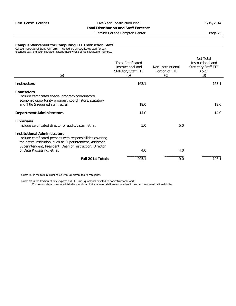El Camino College Compton Center **Page 25** 

#### **Campus Worksheet for Computing FTE Instruction Staff**

College Instructional Staff, Fall Term. Included are all certificated staff for day, extended day, and adult education except those whose office is located off-campus.

| (a)                                                                                                                                                                                                                                                        | <b>Total Certificated</b><br>Instructional and<br>Statutory Staff FTE<br>(b) | Non-Instructional<br>Portion of FTE<br>(c) | Net Total<br>Instructional and<br><b>Statutory Staff FTE</b><br>$(b-c)$<br>(d) |
|------------------------------------------------------------------------------------------------------------------------------------------------------------------------------------------------------------------------------------------------------------|------------------------------------------------------------------------------|--------------------------------------------|--------------------------------------------------------------------------------|
| <b>Instructors</b>                                                                                                                                                                                                                                         | 163.1                                                                        |                                            | 163.1                                                                          |
| Counselors<br>Include certificated special program coordinators,<br>economic opportunity program, coordinators, statutory                                                                                                                                  |                                                                              |                                            |                                                                                |
| and Title 5 required staff, et. al.                                                                                                                                                                                                                        | 19.0                                                                         |                                            | 19.0                                                                           |
| <b>Department Administrators</b>                                                                                                                                                                                                                           | 14.0                                                                         |                                            | 14.0                                                                           |
| Librarians<br>Include certificated director of audio/visual, et. al.                                                                                                                                                                                       | 5.0                                                                          | 5.0                                        |                                                                                |
| <b>Institutional Administrators</b><br>Include certificated persons with responsibilities covering<br>the entire institution, such as Superintendent, Assistant<br>Superintendent, President, Dean of Instruction, Director<br>of Data Processing, et. al. | 4.0                                                                          | 4.0                                        |                                                                                |
|                                                                                                                                                                                                                                                            |                                                                              |                                            |                                                                                |
| Fall 2014 Totals                                                                                                                                                                                                                                           | 205.1                                                                        | 9.0                                        | 196.1                                                                          |

Column (b) is the total number of Column (a) distributed to categories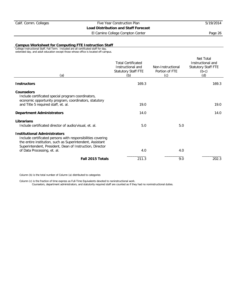El Camino College Compton Center **Page 26** 

#### **Campus Worksheet for Computing FTE Instruction Staff**

College Instructional Staff, Fall Term. Included are all certificated staff for day, extended day, and adult education except those whose office is located off-campus.

| (a)                                                                                                                                                                                                                                                        | <b>Total Certificated</b><br>Instructional and<br>Statutory Staff FTE<br>(b) | Non-Instructional<br>Portion of FTE<br>(c) | Net Total<br>Instructional and<br><b>Statutory Staff FTE</b><br>$(b-c)$<br>(d) |
|------------------------------------------------------------------------------------------------------------------------------------------------------------------------------------------------------------------------------------------------------------|------------------------------------------------------------------------------|--------------------------------------------|--------------------------------------------------------------------------------|
| <b>Instructors</b>                                                                                                                                                                                                                                         | 169.3                                                                        |                                            | 169.3                                                                          |
| Counselors<br>Include certificated special program coordinators,<br>economic opportunity program, coordinators, statutory                                                                                                                                  |                                                                              |                                            |                                                                                |
| and Title 5 required staff, et. al.                                                                                                                                                                                                                        | 19.0                                                                         |                                            | 19.0                                                                           |
| <b>Department Administrators</b>                                                                                                                                                                                                                           | 14.0                                                                         |                                            | 14.0                                                                           |
| Librarians<br>Include certificated director of audio/visual, et. al.                                                                                                                                                                                       | 5.0                                                                          | 5.0                                        |                                                                                |
| <b>Institutional Administrators</b><br>Include certificated persons with responsibilities covering<br>the entire institution, such as Superintendent, Assistant<br>Superintendent, President, Dean of Instruction, Director<br>of Data Processing, et. al. | 4.0                                                                          | 4.0                                        |                                                                                |
|                                                                                                                                                                                                                                                            |                                                                              |                                            |                                                                                |
| Fall 2015 Totals                                                                                                                                                                                                                                           | 211.3                                                                        | 9.0                                        | 202.3                                                                          |

Column (b) is the total number of Column (a) distributed to categories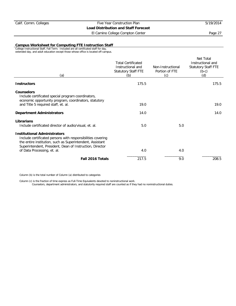El Camino College Compton Center **Page 27** 

#### **Campus Worksheet for Computing FTE Instruction Staff**

College Instructional Staff, Fall Term. Included are all certificated staff for day, extended day, and adult education except those whose office is located off-campus.

| (a)                                                                                                                                                                                                                                                        | <b>Total Certificated</b><br>Instructional and<br>Statutory Staff FTE<br>(b) | Non-Instructional<br>Portion of FTE<br>(c) | Net Total<br>Instructional and<br><b>Statutory Staff FTE</b><br>$(b-c)$<br>(d) |
|------------------------------------------------------------------------------------------------------------------------------------------------------------------------------------------------------------------------------------------------------------|------------------------------------------------------------------------------|--------------------------------------------|--------------------------------------------------------------------------------|
| <b>Instructors</b>                                                                                                                                                                                                                                         | 175.5                                                                        |                                            | 175.5                                                                          |
| <b>Counselors</b><br>Include certificated special program coordinators,<br>economic opportunity program, coordinators, statutory                                                                                                                           |                                                                              |                                            |                                                                                |
| and Title 5 required staff, et. al.                                                                                                                                                                                                                        | 19.0                                                                         |                                            | 19.0                                                                           |
| <b>Department Administrators</b>                                                                                                                                                                                                                           | 14.0                                                                         |                                            | 14.0                                                                           |
| Librarians<br>Include certificated director of audio/visual, et. al.                                                                                                                                                                                       | 5.0                                                                          | 5.0                                        |                                                                                |
| <b>Institutional Administrators</b><br>Include certificated persons with responsibilities covering<br>the entire institution, such as Superintendent, Assistant<br>Superintendent, President, Dean of Instruction, Director<br>of Data Processing, et. al. | 4.0                                                                          | 4.0                                        |                                                                                |
|                                                                                                                                                                                                                                                            |                                                                              |                                            |                                                                                |
| Fall 2016 Totals                                                                                                                                                                                                                                           | 217.5                                                                        | 9.0                                        | 208.5                                                                          |

Column (b) is the total number of Column (a) distributed to categories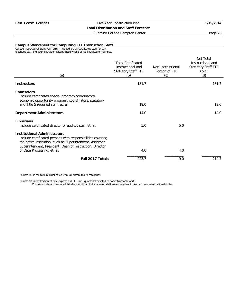El Camino College Compton Center **Page 28** 

#### **Campus Worksheet for Computing FTE Instruction Staff**

College Instructional Staff, Fall Term. Included are all certificated staff for day, extended day, and adult education except those whose office is located off-campus.

| (a)                                                                                                                                                                                                                                                        | <b>Total Certificated</b><br>Instructional and<br>Statutory Staff FTE<br>(b) | Non-Instructional<br>Portion of FTE<br>(c) | Net Total<br>Instructional and<br><b>Statutory Staff FTE</b><br>$(b-c)$<br>(d) |
|------------------------------------------------------------------------------------------------------------------------------------------------------------------------------------------------------------------------------------------------------------|------------------------------------------------------------------------------|--------------------------------------------|--------------------------------------------------------------------------------|
| <b>Instructors</b>                                                                                                                                                                                                                                         | 181.7                                                                        |                                            | 181.7                                                                          |
| Counselors<br>Include certificated special program coordinators,<br>economic opportunity program, coordinators, statutory                                                                                                                                  |                                                                              |                                            |                                                                                |
| and Title 5 required staff, et. al.                                                                                                                                                                                                                        | 19.0                                                                         |                                            | 19.0                                                                           |
| <b>Department Administrators</b>                                                                                                                                                                                                                           | 14.0                                                                         |                                            | 14.0                                                                           |
| Librarians<br>Include certificated director of audio/visual, et. al.                                                                                                                                                                                       | 5.0                                                                          | 5.0                                        |                                                                                |
| <b>Institutional Administrators</b><br>Include certificated persons with responsibilities covering<br>the entire institution, such as Superintendent, Assistant<br>Superintendent, President, Dean of Instruction, Director<br>of Data Processing, et. al. | 4.0                                                                          | 4.0                                        |                                                                                |
| Fall 2017 Totals                                                                                                                                                                                                                                           | 223.7                                                                        | 9.0                                        | 214.7                                                                          |
|                                                                                                                                                                                                                                                            |                                                                              |                                            |                                                                                |

Column (b) is the total number of Column (a) distributed to categories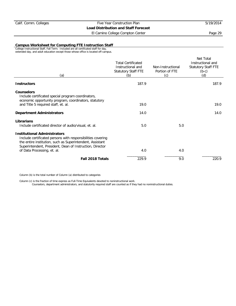El Camino College Compton Center **Page 29** Page 29

#### **Campus Worksheet for Computing FTE Instruction Staff**

College Instructional Staff, Fall Term. Included are all certificated staff for day, extended day, and adult education except those whose office is located off-campus.

| (a)                                                                                                                                                                                                                                                        | <b>Total Certificated</b><br>Instructional and<br>Statutory Staff FTE<br>(b) | Non-Instructional<br>Portion of FTE<br>(c) | Net Total<br>Instructional and<br><b>Statutory Staff FTE</b><br>$(b-c)$<br>(d) |
|------------------------------------------------------------------------------------------------------------------------------------------------------------------------------------------------------------------------------------------------------------|------------------------------------------------------------------------------|--------------------------------------------|--------------------------------------------------------------------------------|
| <b>Instructors</b>                                                                                                                                                                                                                                         | 187.9                                                                        |                                            | 187.9                                                                          |
| Counselors<br>Include certificated special program coordinators,<br>economic opportunity program, coordinators, statutory                                                                                                                                  |                                                                              |                                            |                                                                                |
| and Title 5 required staff, et. al.                                                                                                                                                                                                                        | 19.0                                                                         |                                            | 19.0                                                                           |
| <b>Department Administrators</b>                                                                                                                                                                                                                           | 14.0                                                                         |                                            | 14.0                                                                           |
| Librarians<br>Include certificated director of audio/visual, et. al.                                                                                                                                                                                       | 5.0                                                                          | 5.0                                        |                                                                                |
| <b>Institutional Administrators</b><br>Include certificated persons with responsibilities covering<br>the entire institution, such as Superintendent, Assistant<br>Superintendent, President, Dean of Instruction, Director<br>of Data Processing, et. al. | 4.0                                                                          | 4.0                                        |                                                                                |
| Fall 2018 Totals                                                                                                                                                                                                                                           | 229.9                                                                        | 9.0                                        | 220.9                                                                          |
|                                                                                                                                                                                                                                                            |                                                                              |                                            |                                                                                |

Column (b) is the total number of Column (a) distributed to categories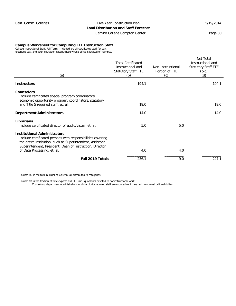El Camino College Compton Center **Page 30** 

#### **Campus Worksheet for Computing FTE Instruction Staff**

College Instructional Staff, Fall Term. Included are all certificated staff for day, extended day, and adult education except those whose office is located off-campus.

| (a)                                                                                                                                                                                                                                                        | <b>Total Certificated</b><br>Instructional and<br>Statutory Staff FTE<br>(b) | Non-Instructional<br>Portion of FTE<br>(c) | Net Total<br>Instructional and<br><b>Statutory Staff FTE</b><br>$(b-c)$<br>(d) |
|------------------------------------------------------------------------------------------------------------------------------------------------------------------------------------------------------------------------------------------------------------|------------------------------------------------------------------------------|--------------------------------------------|--------------------------------------------------------------------------------|
| <b>Instructors</b>                                                                                                                                                                                                                                         | 194.1                                                                        |                                            | 194.1                                                                          |
| <b>Counselors</b><br>Include certificated special program coordinators,<br>economic opportunity program, coordinators, statutory                                                                                                                           |                                                                              |                                            |                                                                                |
| and Title 5 required staff, et. al.                                                                                                                                                                                                                        | 19.0                                                                         |                                            | 19.0                                                                           |
| <b>Department Administrators</b>                                                                                                                                                                                                                           | 14.0                                                                         |                                            | 14.0                                                                           |
| Librarians<br>Include certificated director of audio/visual, et. al.                                                                                                                                                                                       | 5.0                                                                          | 5.0                                        |                                                                                |
| <b>Institutional Administrators</b><br>Include certificated persons with responsibilities covering<br>the entire institution, such as Superintendent, Assistant<br>Superintendent, President, Dean of Instruction, Director<br>of Data Processing, et. al. | 4.0                                                                          | 4.0                                        |                                                                                |
| Fall 2019 Totals                                                                                                                                                                                                                                           | 236.1                                                                        | 9.0                                        | 227.1                                                                          |
|                                                                                                                                                                                                                                                            |                                                                              |                                            |                                                                                |

Column (b) is the total number of Column (a) distributed to categories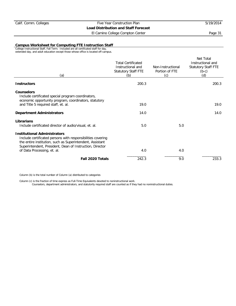El Camino College Compton Center **Page 31** 

#### **Campus Worksheet for Computing FTE Instruction Staff**

College Instructional Staff, Fall Term. Included are all certificated staff for day, extended day, and adult education except those whose office is located off-campus.

| (a)                                                                                                                                                                                                                                                        | <b>Total Certificated</b><br>Instructional and<br>Statutory Staff FTE<br>(b) | Non-Instructional<br>Portion of FTE<br>(c) | Net Total<br>Instructional and<br><b>Statutory Staff FTE</b><br>$(b-c)$<br>(d) |
|------------------------------------------------------------------------------------------------------------------------------------------------------------------------------------------------------------------------------------------------------------|------------------------------------------------------------------------------|--------------------------------------------|--------------------------------------------------------------------------------|
| <b>Instructors</b>                                                                                                                                                                                                                                         | 200.3                                                                        |                                            | 200.3                                                                          |
| <b>Counselors</b><br>Include certificated special program coordinators,<br>economic opportunity program, coordinators, statutory                                                                                                                           |                                                                              |                                            |                                                                                |
| and Title 5 required staff, et. al.                                                                                                                                                                                                                        | 19.0                                                                         |                                            | 19.0                                                                           |
| <b>Department Administrators</b>                                                                                                                                                                                                                           | 14.0                                                                         |                                            | 14.0                                                                           |
| Librarians<br>Include certificated director of audio/visual, et. al.                                                                                                                                                                                       | 5.0                                                                          | 5.0                                        |                                                                                |
| <b>Institutional Administrators</b><br>Include certificated persons with responsibilities covering<br>the entire institution, such as Superintendent, Assistant<br>Superintendent, President, Dean of Instruction, Director<br>of Data Processing, et. al. | 4.0                                                                          | 4.0                                        |                                                                                |
| Fall 2020 Totals                                                                                                                                                                                                                                           | 242.3                                                                        | 9.0                                        | 233.3                                                                          |
|                                                                                                                                                                                                                                                            |                                                                              |                                            |                                                                                |

Column (b) is the total number of Column (a) distributed to categories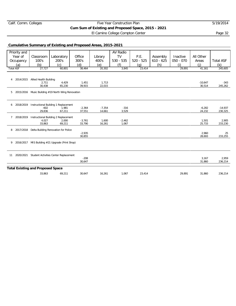## Calif. Comm. Colleges Five Year Construction Plan 5/19/2014 **Cum Sum of Existing and Proposed Space, 2015 - 2021** El Camino College Compton Center **Page 32**

## **Cumulative Summary of Existing and Proposed Areas, 2015-2021**

| Priority and                             |                                           |                                                    |                    |                    | AV Radio        |             |             |             |                    |                      |
|------------------------------------------|-------------------------------------------|----------------------------------------------------|--------------------|--------------------|-----------------|-------------|-------------|-------------|--------------------|----------------------|
| Year of                                  | Classroom                                 | Laboratory                                         | Office             | Library            | <b>TV</b>       | P.E.        | Assembly    | Inactive    | All Other          |                      |
| Occupancy                                | 100's                                     | 200's                                              | 300's              | 400's              | $530 - 535$     | $520 - 525$ | $610 - 625$ | $050 - 070$ | Areas              | <b>Total ASF</b>     |
| (a)                                      | (b)                                       | (c)                                                | (d)                | (e)                | (f)             | (q)         | (h)         | (i)         | (i)                | (k)                  |
| <b>Total ASF</b>                         | 27,727                                    | 60,801                                             | 38,464             | 20,302             | 3,845           | 23,414      |             | 29,891      | 41,161             | 245,605              |
|                                          |                                           |                                                    |                    |                    |                 |             |             |             |                    |                      |
|                                          |                                           |                                                    |                    |                    |                 |             |             |             |                    |                      |
| $\overline{4}$                           | 2014/2015 Allied Health Building<br>2,711 | 4,429                                              | 1,451              | 1,713              |                 |             |             |             | $-10.647$          | $-343$               |
|                                          | 30,438                                    | 65,230                                             | 39,915             | 22,015             |                 |             |             |             | 30,514             | 245,262              |
|                                          |                                           |                                                    |                    |                    |                 |             |             |             |                    |                      |
| 5                                        |                                           | 2015/2016 Music Building #19 North Wing Renovation |                    |                    |                 |             |             |             |                    |                      |
|                                          |                                           |                                                    |                    |                    |                 |             |             |             |                    |                      |
|                                          |                                           |                                                    |                    |                    |                 |             |             |             |                    |                      |
| 6                                        |                                           | 2018/2019 Instructional Building 1 Replacement     |                    |                    |                 |             |             |             |                    |                      |
|                                          | $-602$<br>29,836                          | 1,981<br>67,211                                    | $-2,364$<br>37,551 | $-7,354$<br>14,661 | $-316$<br>3,529 |             |             |             | $-6,282$<br>24,232 | $-14.937$<br>230,325 |
|                                          |                                           |                                                    |                    |                    |                 |             |             |             |                    |                      |
| $7^{\circ}$<br>2018/2019                 |                                           | Instructional Building 2 Replacement               |                    |                    |                 |             |             |             |                    |                      |
|                                          | 4,027                                     | 2,000                                              | $-3,761$           | 1,600              | $-2,462$        |             |             |             | 1,501              | 2,905                |
|                                          | 33,863                                    | 69,211                                             | 33,790             | 16,261             | 1,067           |             |             |             | 25,733             | 233,230              |
| 8                                        |                                           | 2017/2018 Delta Building Renovation for Police     |                    |                    |                 |             |             |             |                    |                      |
|                                          |                                           |                                                    | $-2,935$           |                    |                 |             |             |             | 2,960              | 25                   |
|                                          |                                           |                                                    | 30,855             |                    |                 |             |             |             | 28,693             | 233,255              |
| 9                                        |                                           | 2016/2017 MIS Building #21 Upgrade (Print Shop)    |                    |                    |                 |             |             |             |                    |                      |
|                                          |                                           |                                                    |                    |                    |                 |             |             |             |                    |                      |
|                                          |                                           |                                                    |                    |                    |                 |             |             |             |                    |                      |
| 11                                       |                                           | 2020/2021 Student Activities Center Replacement    |                    |                    |                 |             |             |             |                    |                      |
|                                          |                                           |                                                    | $-208$             |                    |                 |             |             |             | 3,167              | 2,959                |
|                                          |                                           |                                                    | 30.647             |                    |                 |             |             |             | 31,860             | 236,214              |
|                                          |                                           |                                                    |                    |                    |                 |             |             |             |                    |                      |
| <b>Total Existing and Proposed Space</b> |                                           |                                                    |                    |                    |                 |             |             |             |                    |                      |
|                                          | 33,863                                    | 69,211                                             | 30,647             | 16,261             | 1,067           | 23,414      |             | 29,891      | 31,860             | 236,214              |
|                                          |                                           |                                                    |                    |                    |                 |             |             |             |                    |                      |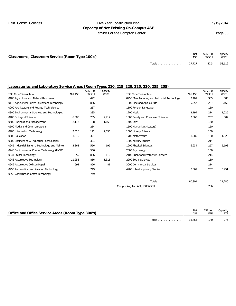## Calif. Comm. Colleges Five Year Construction Plan 5/19/2014 **Capacity of Net Existing On-Campus ASF**

El Camino College Compton Center Page 33

| Classrooms, Classroom Service (Room Type 100's) |               | <b>Net</b> | ASF/100<br>WSCH | Capacity<br>WSCH |
|-------------------------------------------------|---------------|------------|-----------------|------------------|
|                                                 | Totals 27,727 |            | 47.3            | 58.619           |

## **Laboratories and Laboratory Service Areas (Room Types 210, 215, 220, 225, 230, 235, 255)**

| <b>TOP Code/Description</b>                   | Net ASF | ASF/100<br><b>WSCH</b> | Capacity<br><b>WSCH</b> | <b>TOP Code/Description</b>                  | Net ASF | ASF/100<br><b>WSCH</b> | Capacity<br><b>WSCH</b> |
|-----------------------------------------------|---------|------------------------|-------------------------|----------------------------------------------|---------|------------------------|-------------------------|
| 0100 Agriculture and Natural Resources        |         | 492                    |                         | 0956 Manufacturing and Industrial Technology | 3,401   | 385                    | 883                     |
| 0116 Agricultural Power Equipment Technology  |         | 856                    |                         | 1000 Fine and Applied Arts                   | 5,557   | 257                    | 2,162                   |
| 0200 Architecture and Related Technologies    |         | 257                    |                         | 1100 Foreign Language                        |         | 150                    |                         |
| 0300 Environmental Sciences and Technologies  |         | 235                    |                         | 1200 Health                                  | 2,194   | 214                    | 1,025                   |
| 0400 Biological Sciences                      | 6,385   | 235                    | 2,717                   | 1300 Family and Consumer Sciences            | 2,060   | 257                    | 802                     |
| 0500 Business and Management                  | 2,112   | 128                    | 1,650                   | 1400 Law                                     |         | 150                    |                         |
| 0600 Media and Communications                 |         | 214                    |                         | 1500 Humanities (Letters)                    |         | 150                    |                         |
| 0700 Information Technology                   | 3,516   | 171                    | 2,056                   | 1600 Library Science                         |         | 150                    |                         |
| 0800 Education                                | 1,010   | 321                    | 315                     | 1700 Mathematics                             | 1,985   | 150                    | 1,323                   |
| 0900 Engineering & Industrial Technologies    |         | 321                    |                         | 1800 Military Studies                        |         | 214                    |                         |
| 0945 Industrial Systems Technology and Mainte | 3,868   | 556                    | 696                     | 1900 Physical Sciences                       | 6,934   | 257                    | 2,698                   |
| 0946 Environmental Control Technology (HVAC)  |         | 556                    |                         | 2000 Psychology                              |         | 150                    |                         |
| 0947 Diesel Technology                        | 959     | 856                    | 112                     | 2100 Public and Protective Services          |         | 214                    |                         |
| 0948 Automotive Technology                    | 11,258  | 856                    | 1,315                   | 2200 Social Sciences                         |         | 150                    |                         |
| 0949 Automotive Collison Repair               | 693     | 856                    | 81                      | 3000 Commercial Services                     |         | 214                    |                         |
| 0950 Aeronautical and Aviation Technology     |         | 749                    |                         | 4900 Interdisciplinary Studies               | 8,869   | 257                    | 3,451                   |
| 0952 Construction Crafts Technology           |         | 749                    |                         |                                              |         |                        |                         |
|                                               |         |                        |                         | Totals                                       | 60,801  |                        | 21,286                  |
|                                               |         |                        |                         | Campus Avg Lab ASF/100 WSCH                  |         | 286                    |                         |

| Office and Office Service Areas (Room Type 300's) |        | Net    | ASF per | Capacity<br><b>FTE</b> |
|---------------------------------------------------|--------|--------|---------|------------------------|
|                                                   | Totals | 38.464 | 140     | 275                    |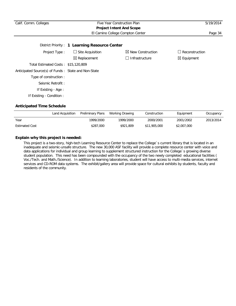| Calif. Comm. Colleges                               | 5/19/2014                                     |                              |                       |
|-----------------------------------------------------|-----------------------------------------------|------------------------------|-----------------------|
|                                                     |                                               |                              |                       |
|                                                     | Page 34                                       |                              |                       |
|                                                     | District Priority: 1 Learning Resource Center |                              |                       |
| Project Type:                                       | $\Box$ Site Acquisition                       | $\boxtimes$ New Construction | $\Box$ Reconstruction |
|                                                     | $\boxtimes$ Replacement                       | □ Infrastructure             | $\boxtimes$ Equipment |
| Total Estimated Costs: \$15,120,809                 |                                               |                              |                       |
| Anticipated Source(s) of Funds: State and Non-State |                                               |                              |                       |
| Type of construction:                               |                                               |                              |                       |
| Seismic Retrofit:                                   |                                               |                              |                       |
| If Existing - Age :                                 |                                               |                              |                       |
| If Existing - Condition :                           |                                               |                              |                       |

## **Anticipated Time Schedule**

|                       | Land Acquisition | <b>Preliminary Plans</b> | Working Drawing | Construction | Equipment   | Occupancy |
|-----------------------|------------------|--------------------------|-----------------|--------------|-------------|-----------|
| Year                  |                  | 1999/2000                | 1999/2000       | 2000/2001    | 2001/2002   | 2013/2014 |
| <b>Estimated Cost</b> |                  | \$287,000                | \$921,809       | \$11,905,000 | \$2,007,000 |           |

## **Explain why this project is needed:**

This project is a two-story, high-tech Learning Resource Center to replace the College`s current library that is located in an inadequate and seismic-unsafe structure. The new 30,000 ASF facility will provide a complete resource center with voice and data applications for individual and group learning to supplement structured instruction for the College`s growing diverse student population. This need has been compounded with the occupancy of the two newly completed educational facilities ( Voc./Tech. and Math./Science). In addition to learning laboratories, student will have access to multi-media services, internet services and CD-ROM data systems. The exhibit/gallery area will provide space for cultural exhibits by students, faculty and residents of the community.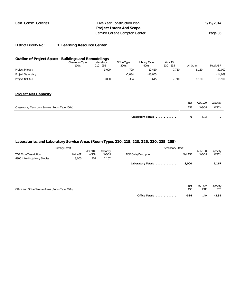## Calif. Comm. Colleges Five Year Construction Plan 5/19/2014 **Project Intent And Scope**

El Camino College Compton Center **Page 35** 

## District Priority No.: **1 Learning Resource Center**

## **Outline of Project Space - Buildings and Remodelings**

|                                                 | Classroom Type | Laboratory  | Office Type | Library Type     | AV - TV     |            |             |                  |
|-------------------------------------------------|----------------|-------------|-------------|------------------|-------------|------------|-------------|------------------|
|                                                 | 100's          | $210 - 255$ | 300's       | 400's            | $530 - 535$ | All Other  |             | <b>Total ASF</b> |
| Project Primary                                 |                | 3,000       | 700         | 12,410           | 7,710       |            | 6,180       | 30,000           |
| Project Secondary                               |                |             | $-1,034$    | $-13,055$        |             |            |             | $-14,089$        |
| Project Net ASF                                 |                | 3,000       | $-334$      | $-645$           | 7,710       |            | 6,180       | 15,911           |
| <b>Project Net Capacity</b>                     |                |             |             |                  |             |            |             |                  |
|                                                 |                |             |             |                  |             | <b>Net</b> | ASF/100     | Capacity         |
| Classrooms, Classroom Service (Room Type 100's) |                |             |             |                  |             | ASF        | <b>WSCH</b> | <b>WSCH</b>      |
|                                                 |                |             |             | Classroom Totals |             | 0          | 47.3        | 0                |

## **Laboratories and Laboratory Service Areas (Room Types 210, 215, 220, 225, 230, 235, 255)**

| Primary Effect                                    |         |                        |                         | Secondary Effect     |         |                        |                         |  |
|---------------------------------------------------|---------|------------------------|-------------------------|----------------------|---------|------------------------|-------------------------|--|
| TOP Code/Description                              | Net ASF | ASF/100<br><b>WSCH</b> | Capacity<br><b>WSCH</b> | TOP Code/Description | Net ASF | ASF/100<br><b>WSCH</b> | Capacity<br><b>WSCH</b> |  |
| 4900 Interdisciplinary Studies                    | 3,000   | 257                    | 1,167                   |                      |         |                        |                         |  |
|                                                   |         |                        |                         | Laboratory Totals    | 3,000   |                        | 1,167                   |  |
|                                                   |         |                        |                         |                      |         |                        |                         |  |
|                                                   |         |                        |                         |                      |         |                        |                         |  |
|                                                   |         |                        |                         |                      | Net     | ASF per                | Capacity                |  |
| Office and Office Service Areas (Room Type 300's) |         |                        |                         |                      | ASF     | <b>FTE</b>             | <b>FTE</b>              |  |
|                                                   |         |                        |                         | Office Totals        | $-334$  | 140                    | $-2.39$                 |  |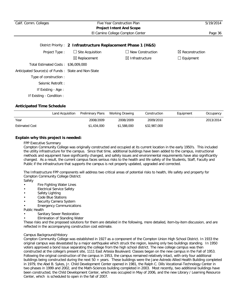| Calif. Comm. Colleges                               | Five Year Construction Plan<br><b>Project Intent And Scope</b> |                                  |                            |
|-----------------------------------------------------|----------------------------------------------------------------|----------------------------------|----------------------------|
|                                                     |                                                                | El Camino College Compton Center | Page 36                    |
|                                                     | District Priority: 2 Infrastructure Replacement Phase 1 (H&S)  |                                  |                            |
| Project Type:                                       | $\Box$ Site Acquisition                                        | New Construction<br>$\mathsf{L}$ | $\boxtimes$ Reconstruction |
|                                                     | $\boxtimes$ Replacement                                        | $\boxtimes$ Infrastructure       | $\Box$ Equipment           |
| Total Estimated Costs: \$36,009,000                 |                                                                |                                  |                            |
| Anticipated Source(s) of Funds: State and Non-State |                                                                |                                  |                            |
| Type of construction:                               |                                                                |                                  |                            |
| Seismic Retrofit:                                   |                                                                |                                  |                            |
| If Existing - Age :                                 |                                                                |                                  |                            |
| If Existing - Condition :                           |                                                                |                                  |                            |

|                       | Land Acquisition | Preliminary Plans | Working Drawing | Construction | Equipment | Occupancy |
|-----------------------|------------------|-------------------|-----------------|--------------|-----------|-----------|
| Year                  |                  | 2008/2009         | 2008/2009       | 2009/2010    |           | 2013/2014 |
| <b>Estimated Cost</b> |                  | \$1,434,000       | \$1,588,000     | \$32,987,000 |           |           |

### **Explain why this project is needed:**

#### FPP Executive Summary

Compton Community College was originally constructed and occupied at its current location in the early 1950's. This included the utility infrastructure for the campus. Since that time, additional buildings have been added to the campus, instructional methods and equipment have significantly changed, and safety issues and environmental requirements have also significantly changed. As a result, the current campus faces serious risks to the health and life safety of the Students, Staff, Faculty and Public if the infrastructure that supports the campus is not properly updated, upgraded and corrected.

The Infrastructure FPP components will address two critical areas of potential risks to health, life safety and property for Compton Community College District:

- Safety
- Fire Fighting Water Lines
- Electrical Service Safety
- Safety Lighting
- Code Blue Stations
- Security Camera System
- **Emergency Communications**

Public Health

- Sanitary Sewer Restoration
- Elimination of Standing Water

These risks and the proposed solutions for them are detailed in the following, more detailed, item-by-item discussion, and are reflected in the accompanying construction cost estimate.

#### Campus Background/History

Compton Community College was established in 1927 as a component of the Compton Union High School District. In 1933 the original campus was devastated by a major earthquake which struck the region, leaving only two buildings standing. In 1950 voters approved a bond issue separating the college from the high school district. The new college campus was then constructed at the college's present site, 1111 East Artesia Boulevard. Classes began on the new campus in the Fall of 1953. Following the original construction of the campus in 1953, the campus remained relatively intact, with only four additional buildings being constructed during the next 50 + years. These buildings were the Jane Astredo Allied Health Building completed in 1979, the Abel B. Sykes, Jr. Child Development Center opened in 1981, the Ralph C. Dills Vocational-Technology Center in two phases in 1999 and 2002, and the Math-Sciences building completed in 2003. Most recently, two additional buildings have been constructed, the Child Development Center, which was occupied in May of 2006, and the new Library / Learning Resource Center, which is scheduled to open in the fall of 2007.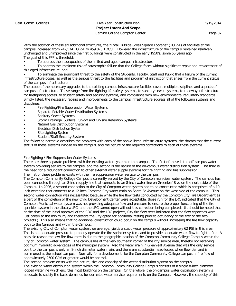# **Project Intent And Scope**

El Camino College Compton Center **Page 37** 

With the addition of these six additional structures, the "Total Outside Gross Square Footage" (TOGSF) of facilities at the campus increased from 242,574 TOGSF to 459,873 TOGSF. However the infrastructure of the campus remained relatively unchanged and unimproved since the first buildings were constructed in the early 1950's, some 55 years ago. The goal of this FPP is threefold:

• To address the inadequacies of the limited and aged campus infrastructure

• To address the imminent risk of catastrophic failure that the College faces without significant repair and replacement of this aged infrastructure, and

• To eliminate the significant threat to the safety of the Students, Faculty, Staff and Public that a failure of the current infrastructure poses, as well as the serious threat to the facilities and program of instruction that arises from the current status of the campus infrastructure.

The scope of the necessary upgrades to the existing campus infrastructure facilities covers multiple disciplines and aspects of campus infrastructure. These range from fire fighting life safety systems, to sanitary sewer systems, to roadway infrastructure for firefighting access, to student safety and security systems, and compliance with new environmental regulatory standards. Simply listed, the necessary repairs and improvements to the campus infrastructure address all of the following systems and disciplines:

- Fire Fighting/Fire Suppression Water Systems
- Separate Potable Water Distribution Systems
- Sanitary Sewer Systems
- Storm Drainage, Surface Run-off and On-site Retention Systems
- Natural Gas Distribution Systems
- Electrical Distribution System
- Site Lighting System
- Student/Staff Security System

The following narrative describes the problems with each of the above-listed infrastructure systems, the threats that the current status of these systems impose on the campus, and the nature of the required corrections to each of these systems.

#### Fire Fighting / Fire Suppression Water Systems

There are three separate problems with the existing water system on the campus. The first of these is the off-campus water system providing service to the campus, and the second is the nature of the on-campus water distribution system. The third is the need for a redundant connection to other external water supply systems for fire fighting and fire suppression.

The first of these problems exists with the fire suppression water service to the campus.

The Compton Community College Campus is currently served by the City of Compton municipal water system. The campus has been connected through an 8-inch supply line that connects to an 8-inch water line on Greenleaf Blvd on the north side of the Campus. In 2006, a second connection to the City of Compton water system had to be constructed which is comprised of a 10 inch waterline that connects to a 12-inch Compton City water main on Santa Fe Avenue on the west side of the campus. This second water connection was necessitated because while the fire flow tests conducted by the Compton City Fire Department as a part of the completion of the new Child Development Center were acceptable, those run for the LRC indicated that the City of Compton Municipal water system was not providing adequate flow and pressure to ensure the proper functioning of the fire sprinkler system in the Library/LRC, and the LRC cannot open without this correction being completed. (It should be noted that at the time of the initial approval of the CDC and the LRC projects, City fire flow tests indicated that the flow capacities were just barely at the minimum, and therefore the City opted for additional testing prior to occupancy of the first of the two projects.) This also means that no additional construction could occur on the campus without increasing the fire flow capacity both to the Campus and within the Campus.

The existing City of Compton water system, on average, yields a static water pressure of approximately 62 PSI in this area. This is not adequate pressure to properly operate the fire sprinkler system, and to provide adequate water flow to fight a fire. A possible reason the low fire flow rates is due to the geographic location of the Compton Community College Campus within the City of Compton water system. The campus lies at the very southeast corner of the city service area, thereby not receiving optimum hydraulic advantages of the municipal system. Also the water main in Greenleaf Avenue that was the only service point to the campus is only an 8-inch diameter water main, and there are substantial head-losses when flow demand is summoned at the school campus. Normally for a development like the Compton Community College campus, a fire flow of approximately 2500 GPM or greater would be optimal.

The second problem exists with the nature, size and capacity of the water distribution system on the campus. The existing water distribution system within the Compton Community College Campus consists of a single 8-inch diameter looped waterline which encircles most buildings on the campus. On the whole, the on-campus water distribution system is adequate to satisfy the basic demands for domestic water service requirements on the Campus. However, the capacity of this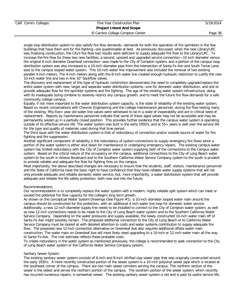# **Project Intent And Scope**

#### El Camino College Compton Center **Page 38**

single loop distribution system to also satisfy fire flow demands—demands for both the operation of fire sprinklers in the few buildings that have them and for fire fighting—are questionable at best. As previously discussed, when the new Library/LRC was finalizing construction, the City's fire flow test results were deficient to supply adequate fire flow to the Library/LRC. To increase the fire flow for these two new facilities, a second, upsized and upgraded service connection—10 inch diameter versus the original 8 inch diameter Greenleaf connection—was made to the City of Compton system, and a portion of the campus loop distribution system was also increased to a 10-inch diameter pipe from the intersection of Santa Fe Ave and South Tartar Lane east to the campus looped water system. This 10-inch water line improvement also included the removal of two existing parallel 4-inch meters. The 4-inch meters along with the 8-inch water line created enough hydraulic restriction to justify the new 10-inch water line and two in-line 10" backflow valves.

The discovery and replacement of this type of hydraulic constriction demonstrates the need to completely upgrade/replace the entire water system with new, larger and separate water distribution systems—one for domestic water distribution, and one to provide adequate flow for fire sprinkler systems and fire fighting. The age of the existing water system infrastructure, along with its inadequate sizing combine to severely restrict any campus growth, and to meet the future fire flow demands for a safe community college campus.

Equally, if not more important to the water distribution system capacity, is the state of reliability of the existing water system. Based on recent conversations with Chevron Engineering and the college maintenance personnel, during fire flow testing many of the existing, fifty-five+ year old water line valves were witnessed to be in a state of inoperability and are in critical need of replacement. Reports by maintenance personnel indicate that some of these aged valves may not be accessible and may be permanently seized up in a partially closed position. This provides further evidence that the campus water system is operating outside of its effective service life. The water system was built in the early 1950's, and at 55+ years is well over the service life for the type and quality of materials used during that time period.

The third issue with the water distribution system is that of redundancy of connection and/or outside source of water for fire fighting and fire suppression.

Another significant component of reliability is the redundancy of system connections to supply emergency fire flows when a portion of the water system is either shut down for maintenance or undergoing emergency repairs. The existing campus water system has limited redundancy with the City of Compton water system supplying both of the connections to the Campus water system. Based on the critical nature of the occupancy on the campus, additional connections to the City of Long Beach water system to the south in Artesia Boulevard and to the Southern California Water Service Company system to the south is prudent to provide reliable and adequate fire flow for fighting fires on the campus.

Most importantly, the above described changes are necessary to ensure that the students, staff, visitors, maintenance personnel and the State of California have the basic right to have confidence that they have reliable water supply systems that will not only provide adequate and reliable domestic water service, but, more importantly, a water distribution system that will provide adequate and reliable fire life safety protection, both now and into the future.

#### Recommendations:

Our recommendation is to completely replace the water system with a modern, highly reliable split system which can meet or exceed the potential fire flow capacity for the college's long term growth.

As shown on the conceptual Water System Drawings (See Figure #1), a 10-inch diameter looped water main around the campus should be constructed for fire protection, with an additional 4 inch water line loop for domestic water service. Additionally, a new 12-inch diameter supply line needs to be installed to connect to the City of Compton water system, as well as new 12-inch connections needs to be made to the City of Long Beach water system and to the Southern California Water Service Company. Depending on the water pressures and supply available, the newly constructed 10-inch water main off of Santa Fe Ave might possibly remain. The proposed additional connection to the City of Long Beach or to California Water Service Company must be looked at with detailed attention to costs and water systems contribution to supply adequate fire flow. The proposed new 12-inch connection alternative on Greenleaf Ave also requires additional offsite water main construction. The water main on Greenleaf Ave will most likely need upgrading to a 10-inch or 12-inch water main all the way to Santa Fe Ave. The cost estimate reflects these probable costs.

To create redundancy in the water system as mentioned previously, the college is recommended to seek connection to the City of Long Beach water system or the California Water Service Company system.

#### Sanitary Sewer System

The existing sanitary sewer system consists of 6-inch and 8-inch vitrified clay sewer pipe that was originally constructed around the early 1930's. A more recently constructed portion of the sewer system is a 10-inch polyvinyl sewer pipe which is located at the southeast corner of the campus. There are two main sewer corridors serving the campus. The northern section of the sewer is the oldest and serves the northern portion of the campus. The southern portion of the sewer system, which recently has incurred numerous repairs, is somewhat newer. The existing sanitary sewer system is old and is past its useful service life.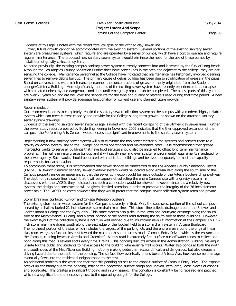# Calif. Comm. Colleges Five Year Construction Plan 5/19/2014 **Project Intent And Scope** El Camino College Compton Center **Page 39**

Evidence of this age is noted with the recent total collapse of the vitrified clay sewer line.

Further, future growth cannot be accommodated with the existing system. Several portions of the existing sanitary sewer system are pressurized systems, which require and are operated by a series of pumps, which have a cost to operate and require regular maintenance. The proposed new sanitary sewer system would eliminate the need for the use of these pumps by installation of gravity collection system.

As noted previously, the existing campus sanitary sewer system currently connects into and is served by the City of Long Beach. Although the Los Angeles County Sanitation District does have sewer lines in the area and adjacent to the college, they are not servicing the college. Maintenance personnel at the College have indicated that maintenance has historically involved cleaning sewer lines to remove debris buildup. The primary cause of debris buildup has been due to solidification of grease in the pipes. Based on conversations with maintenance personnel, the concentrations of grease primarily originated from the Student Lounge/Cafeteria Building. More significantly, portions of the existing sewer system have recently experienced total collapse which created unhealthy and dangerous conditions until emergency repairs can be completed. The oldest parts of this system are over 75 years old and are well over the service life for the type and quality of materials used during that time period. A new sanitary sewer system will provide adequate functionality for current use and planned future growth.

#### Recommendation:

Our recommendation is to completely rebuild the sanitary sewer collection system on the campus with a modern, highly reliable system which can meet current capacity and provide for the College's long term growth, as shown on the attached sanitary sewer system drawings.

Evidence of the existing sanitary sewer system's age is noted with the recent collapsing of the vitrified clay sewer lines. Further, the sewer study report prepared by Boyle Engineering in November 2005 indicates that the then-approved expansion of the campus—the Performing Arts Center—would necessitate significant improvements to the sanitary sewer system.

Implementing a new sanitary sewer system will also eliminate the two sewer ejector pump systems and convert them to a gravity collection system, saving the College long term operational and maintenance costs. It is recommended that grease interceptor vaults to serve all buildings that have food services should also be installed to offset long term maintenance problems. This will eliminate grease buildup and it will satisfy new and ever stricter environmental requirements mandated for the sewer agency. Such vaults should be located external to the buildings and be sized adequately to meet the capacity requirements for each location.

To accomplish these steps, it is recommended that sewer service be transferred to the Los Angeles County Sanitation District (LACSD) A 36-inch diameter sanitary sewer overflow system would be located along Artesia Blvd along the south side of the Campus property inside an easement so that the sewer connection could be made outside of the Artesia Boulevard right-of-way. The depth of this sewer line is such that it will be capable of collecting the entire Campus site with a gravity system. In discussions with the LACSD, they indicated that such a connection would be allowed, however, since it is a relatively new system, the design and construction will be given detailed attention in order to preserve the integrity of the 36-inch diameter sewer main. The LACSD indicated however that they would prefer that the campus sewer collection system remained private.

#### Storm Drainage, Surfaced Run-off and On-site Retention Systems

The existing storm drain water system for the Campus is severely limited. Only the southwest portion of the school campus is served by a shallow buried 21-inch diameter storm drain main line. This storm line collects drainage around the Shower and Locker Room buildings and the Gym, only. This same system also picks up the lawn and courtyard drainage along the south side of the Math/Science Building, and a small portion of the access road fronting the south side of these buildings. However, the exact layout of the collection system is not fully well defined due to insufficient as-built information at the Campus. This 21 inch storm main line drains south along the east edge of the football field to a storm drain system in Artesia Boulevard. The northeast portion of the site, which includes the largest of the parking lots and the entire area around the original linear classroom wings, surface drains east toward the main north-south access road—Campus Entry Drive—which is the entrance to the Campus, running between Artesia and Greenleaf. As this road is extremely flat, surface run-off water tends to collect and pond along this road is several spots every time it rains. This ponding disrupts access in the Administration Building, making it unsafe for the public and students to have access to the building whenever rainfall occurs. Water also ponds at both the north and south sides of the Math/Sciences Building, not only making pedestrian access difficult and dangerous, but also creates a driving hazard due to the depth of the ponding. The surface flow eventually drains toward Artesia Ave, however some drainage eventually flows into the residential neighborhood to the east.

An additional problem is the wear and tear that this ponding causes to the asphalt surface of Campus Entry Drive. The asphalt breaks up constantly due to the ponding, making the pedestrian surface rough and uneven, with large, loose pieces of asphalt and aggregate. This creates a significant tripping and injury hazard. This condition is constantly being repaired and patched, which is a significant and unnecessary cost to the operating budget for the College.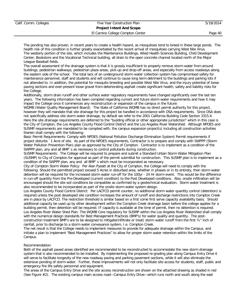# **Project Intent And Scope**

El Camino College Compton Center **Page 40** 

The ponding has also proven, in recent years to create a health hazard, as mosquitoes tend to breed in these large ponds. The health risk of this condition is further greatly exacerbated by the recent arrival of mosquitoes carrying West Nile Virus. The westerly portion of the site, which includes the Maintenance Buildings, Allied Health Sciences Building, Child Development Center, Bookstore and the Vocational Technical building, all drain to the open concrete channel located north of the Major League Baseball fields.

The overall assessment of the drainage system is that it is grossly insufficient to properly remove storm water from around buildings, pedestrian walkways, pedestrian plaza areas, pick-up and drop-off areas, and especially from access roadways along the eastern side of the school. The total lack of an underground storm water collection system has compromised safety for maintenance personnel, staff and students and will continue to cause long term detriment to the buildings and parking lots if not attended to. In addition, the potential for mosquito breeding and possible West Nile Virus, and the injury potential of loose paving sections and ever-present loose gravel from deteriorating asphalt create significant health, safety and liability risks for the College.

Additionally, storm drain runoff and other surface water regulatory requirements have changed significantly over the last ten years. The following information has been compiled regarding current and future storm water requirements and how it may impact the College once it commences any reconstruction or expansion of the campus in the future:

WQMB (Water Quality Management Board): The State of California WQMB has no direct permit authority for this project, however they will mandate that site drainage for this project be handled in accordance with DSA requirements. Since DSA does not specifically address site storm water drainage, by default we refer to the 2001 California Building Code Section 3315.4. Here the site drainage requirements are deferred to the "building official or other appropriate jurisdiction" which in this case is the City of Compton, the Los Angeles County Flood Control District and the Los Angeles River Watershed. Although NPDES and SUSMP requirements are mandated to be complied with, the campus expansion project(s) including all construction activities therein shall comply with the following:

Basic Permit Requirements: Comply with NPDES (National Pollution Discharge Elimination System) Permit requirements if project disturbs `1 Acre of site. As part of the NPDES requirements, Contractor is to prepare and comply with SWPPP (Storm Water Pollution Prevention Plan) plan as approved by the City of Compton. Contractor is to implement as a condition of the SWPPP plan, any and all BMP`s as necessary to control pollutants during construction.

SUSMP Requirements: The College will be required to prepare and submit a Standard Urban Storm Water Mitigation Plan (SUSMP) to City of Compton for approval as part of the permit submittal for construction. This SUSMP plan is to implement as a condition of the SWPPP plan, any and all BMP`s which must be incorporated as necessary.

City of Compton Storm Water Policy: Per Alan Pyeatt at the City of Compton, the College will need to comply with the following: Should the permitted project exceed 5 Acres in disturbed area, whether in phases or in its entirety, then storm water detention will be required for the increased storm water run-off for the 100yr - 24 Hr storm event. This would be the difference in run-off quantity from the Pre-Developed (current condition) to the Post Developed conditions. Also, onsite infiltration will be encouraged should the site soil conditions be compatible as confirmed by a geotechnical evaluation. Storm water treatment is also recommended to be incorporated as part of the onsite storm water system design.

Los Angeles County Flood Control District: Per LACFCD permit counter, no additional storm water quantity control (detention) is required unless the post developed site condition increases the amount of runoff and discharge restrictions into Compton Creek are in place by LACFCD. The restriction threshold is similar based on a first come first serve capacity availability basis. Should additional capacity be used up by other development within the Compton Creek drainage basin before the college applies for a building permit, then detention will be required. IF capacity is available at the time of permit, then no detention is required. Los Angeles River Water Shed Plan: The WQMB Core regulatory for SUSMP within the Los Angeles River Watershed shall comply with the numerical design standards for Best Management Practices (BMP's) for water quality and quantity. The postconstruction treatment BMP's are to be designed to mitigate(infiltrate or treat) storm water runoff from the first  $\frac{3}{4}$ " inch of rainfall, prior to discharge to a storm water conveyance system, I.e. Compton Creek.

The net result is that the College needs to implement measures to provide for adequate drainage within the Campus, and initiate a plan to implement "Best Management Practices" to allow for proper storm water retention within the limits of the Campus.

#### Recommendation:

Both of the asphalt paved areas identified are recommended to be reconstructed to accommodate the new storm drainage system that is also recommended to be installed. By implementing the proposed re-grading plan along Campus Entry Drive it will serve to facilitate longevity of the new roadway paving and parking pavement sections, while it will also eliminate the extensive ponding of storm water. Further, these improvements will not only facilitate site access for students, staff, public and emergency fire life safety personnel and equipment.

The areas of the Campus Entry Drive and the site access reconstruction are shown on the attached drawing as shaded in red (See Figure #2). The existing campus main access road—Campus Entry Drive—which runs north and south along the east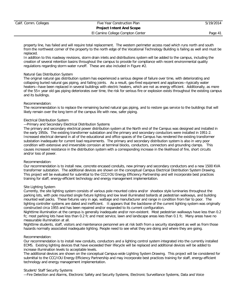# **Project Intent And Scope**

El Camino College Compton Center **Page 41** 

property line, has failed and will require total replacement. The western perimeter access road which runs north and south from the northwest corner of the property to the north edge of the Vocational Technology Building is failing as well and must be replaced.

In addition to this roadway revisions, storm drain inlets and distributions system will be added to the campus, including the creation of several retention basins throughout the campus to provide for compliance with recent environmental quality regulations regarding storm water runoff. These are also included in Figure #2.

#### Natural Gas Distribution System

The original natural gas distribution system has experienced a serious degree of failure over time, with deteriorating and collapsing buried natural gas piping, and failing joints. As a result, gas-fired equipment and appliances—typically water heaters—have been replaced in several buildings with electric heaters, which are not as energy efficient. Additionally, as more of the 55+ year old gas piping deteriorates over time, the risk for serious fire or explosion exists throughout the existing campus and its buildings.

#### Recommendation:

The recommendation is to replace the remaining buried natural gas piping, and to restore gas service to the buildings that will likely remain over the long term of the campus life with new, safer piping.

#### Electrical Distribution System

#### —Primary and Secondary Electrical Distribution Systems

The primary and secondary electrical power distribution system at the North end of the Campus was designed and installed in the early 1950s. The existing transformer substation and the primary and secondary conductors were installed in 1951-2. Increased electrical demand in all of the educational and office spaces of the Campus has rendered the existing transformer substation inadequate for current load requirements. The primary and secondary distribution system is also in very poor condition with extensive and irreversible corrosion at terminal blocks, conductors, connectors and grounding clamps. This causes increased resistance in the distribution system with a corresponding increase in the likelihood of fire, short circuits and/or loss of power.

#### Recommendation:

Our recommendation is to install new, concrete encased conduits, new primary and secondary conductors and a new 1500 KVA transformer substation. The additional devices are shown on the conceptual Campus Electrical Distribution System Drawing. This project will be evaluated for submittal to the CCC/IOU Energy Efficiency Partnership and will incorporate best practices training for staff, energy-efficient technology and energy management implementation.

#### Site Lighting System

Currently, the site lighting system consists of various pole mounted cobra and/or shoebox style luminaries throughout the parking lots, with pole mounted single fixture lighting and low level illuminated bollards at pedestrian walkways, and building mounted wall packs. These fixtures vary in age, wattage and manufacturer and range in condition from fair to poor. The lighting controller systems are dated and inefficient. It appears that the backbone of the current lighting system was originally constructed circa 1955 and has been repaired and/or expanded to its current configuration.

Nighttime illumination at the campus is generally inadequate and/or non-existent. Most pedestrian walkways have less than 0.2 fc; most parking lots have less than 0.2 fc and most service, lawn and landscape areas lees than 0.1 fc. Many areas have no measurable illumination at all.

Nighttime students, staff, visitors and maintenance personnel are at risk both from a security standpoint as well as from those hazards normally associated inadequate lighting. People need to see what they are doing and where they are going.

#### Recommendation:

Our recommendation is to install new conduits, conductors and a lighting control system integrated into the currently installed ECMS. Existing lighting devices that have exceeded their lifecycle will be replaced and additional devices will be added to increase illumination levels to acceptable levels.

The additional devices are shown on the conceptual Campus-wide Lighting System Drawing. This project will be considered for submittal to the CCC/IOU Energy Efficiency Partnership and may incorporate best practices training for staff, energy-efficient technology and energy management implementation.

#### Student/ Staff Security Systems

—Fire Detection and Alarms, Electronic Safety and Security Systems, Electronic Surveillance Systems, Data and Voice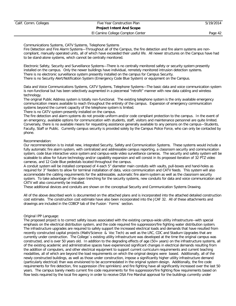# Calif. Comm. Colleges Five Year Construction Plan 5/19/2014 **Project Intent And Scope** El Camino College Compton Center **Page 42**

Communications Systems, CATV Systems, Telephone Systems

Fire Detection and Fire Alarm Systems—Throughout all of the Campus, the fire detection and fire alarm systems are noncompliant, manually operated units, all of which have exceeded their useful life. All newer structures on the Campus have had to be stand-alone systems, which cannot be centrally monitored.

Electronic Safety, Security and Surveillance Systems—There is no centrally monitored safety or security system presently installed on the campus. Only the newer buildings have individual, remotely monitored intrusion detection systems. There is no electronic surveillance system presently installed on the campus for Campus Security. There is no Security Alert/Notification System (Emergency Code Blue System) or equipment on the Campus.

Data and Voice Communications Systems, CATV Systems, Telephone Systems—The basic data and voice communication system is non-functional but has been selectively augmented in a piecemeal "retrofit" manner with new data cabling and wireless technology.

The original Public Address system is totally non-functional. The existing telephone system is the only available emergency communication means available to reach throughout the entirety of the campus. Expansion of emergency communication systems beyond the current capacity of the telephone system is limited.

There is no CATV system presently installed on the campus.

The fire detection and alarm systems do not provide uniform and/or code compliant protection to the campus. In the event of an emergency, available options for communication with students, staff, visitors and maintenance personnel are quite limited. Conversely, there is no available means for requesting assistance generally available to any persons on the campus—Students, Faculty, Staff or Public. Currently campus security is provided solely by the Campus Police Force, who can only be contacted by phone.

Recommendation:

Our recommendation is to install new, integrated Security, Safety and Communication Systems. These systems would include a fully automatic fire alarm system, with centralized and addressable campus reporting, a classroom security and communication system, code blue interactive voice system and campus-wide video surveillance cameras. The security and safety system will be scaleable to allow for future technology and/or capability expansion and will consist in its proposed iteration of 32 PTZ video cameras, and 12 Code Blue pedestals located throughout the campus.

A conduit system will be installed composed of 4 each 5" diameter main conduits with vaults, pull-boxes and hand-holes as required for 3" feeders to allow for terminal installation of data, voice communication and CATV feeds. This system will also accommodate the cabling requirements for the addressable, automatic fire alarm system as well as the classroom security system. To take advantage of the open trenching for the security systems, new conduits for data and voice communication and CATV will also concurrently be installed.

These additional devices and conduits are shown on the conceptual Security and Communication Systems Drawing.

All of the above described work is documented on the attached plans and is incorporated into the attached detailed construction cost estimate. The construction cost estimate have also been incorporated into the JCAF 32. All of these attachments and drawings are included in the COBCP tab of the Fusion `Forms` section.

#### Original IPP Language:

The proposed project is to correct safety issues associated with the existing campus-wide utility infrastructure--with special emphasis on the electrical distribution system, and the code required fire suppression/fire fighting water distribution system. The infrastructure upgrades are required to safely support the increased electrical loads and demands that have resulted from recently constructed capital projects (Math/Science & Voc Tech) as well as the LRC, CDC and Stadium Upgrades that are currently under construction. The College`s existing utility infrastructure was developed at the time the original campus was constructed, and is over 50 years old. In addition to the degrading effects of age (50+ years) on the infrastructure systems, all of the existing academic and administrative spaces have experienced significant changes in electrical demands resulting from the addition of computers, and other electrical equipment to support current curriculum requirements and current teaching modalities, all of which are beyond the load requirements on which the original designs were based. Additionally, all of the newly constructed buildings, as well as those under construction, impose a significantly higher utility infrastructure demand (particularly electrical) than was envisioned to be accommodated in the original system design. Additionally, the fire code requirements for fire detection, fire suppression (fire sprinklers) and fire fighting have all significantly increased over the last 50 years. The campus barely meets current fire code requirements for fire suppression/fire fighting flow requirements based on flow tests required by the local fire agency in order to receive DSA Fire Marshal approval for the buildings currently under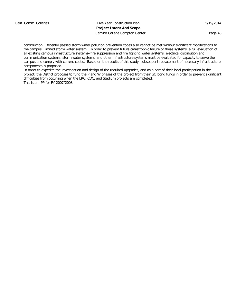# **Project Intent And Scope**

El Camino College Compton Center **Page 43** 

construction. Recently passed storm water pollution prevention codes also cannot be met without significant modifications to the campus` limited storm water system. In order to prevent future catastrophic failure of these systems, a full evaluation of all existing campus infrastructure systems--fire suppression and fire fighting water systems, electrical distribution and communication systems, storm water systems, and other infrastructure systems must be evaluated for capacity to serve the campus and comply with current codes. Based on the results of this study, subsequent replacement of necessary infrastructure components is proposed.

In order to expedite the investigation and design of the required upgrades, and as a part of their local participation in the project, the District proposes to fund the P and W phases of the project from their GO bond funds in order to prevent significant difficulties from occurring when the LRC, CDC, and Stadium projects are completed. This is an IPP for FY 2007/2008.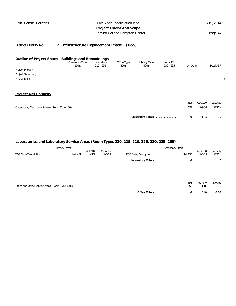# **Project Intent And Scope**

El Camino College Compton Center **Page 44** 

# District Priority No.: **2 Infrastructure Replacement Phase 1 (H&S)**

#### **Outline of Project Space - Buildings and Remodelings**

|                                                 | Classroom Type | Laboratory  | Office Type | Library Type     | AV - TV     |           |             |                  |   |
|-------------------------------------------------|----------------|-------------|-------------|------------------|-------------|-----------|-------------|------------------|---|
|                                                 | 100's          | $210 - 255$ | 300's       | 400's            | $530 - 535$ | All Other |             | <b>Total ASF</b> |   |
| Project Primary                                 |                |             |             |                  |             |           |             |                  |   |
| Project Secondary                               |                |             |             |                  |             |           |             |                  |   |
| Project Net ASF                                 |                |             |             |                  |             |           |             |                  | 0 |
|                                                 |                |             |             |                  |             |           |             |                  |   |
|                                                 |                |             |             |                  |             |           |             |                  |   |
| <b>Project Net Capacity</b>                     |                |             |             |                  |             |           |             |                  |   |
|                                                 |                |             |             |                  |             | Net       | ASF/100     | Capacity         |   |
| Classrooms, Classroom Service (Room Type 100's) |                |             |             |                  |             | ASF       | <b>WSCH</b> | <b>WSCH</b>      |   |
|                                                 |                |             |             |                  |             |           |             |                  |   |
|                                                 |                |             |             | Classroom Totals |             | 0         | 47.3        | 0                |   |

| Primary Effect                                    |         |                        |                         | Secondary Effect     |            |                        |                         |  |  |
|---------------------------------------------------|---------|------------------------|-------------------------|----------------------|------------|------------------------|-------------------------|--|--|
| TOP Code/Description                              | Net ASF | ASF/100<br><b>WSCH</b> | Capacity<br><b>WSCH</b> | TOP Code/Description | Net ASF    | ASF/100<br><b>WSCH</b> | Capacity<br><b>WSCH</b> |  |  |
|                                                   |         |                        |                         | Laboratory Totals    | 0          |                        | 0                       |  |  |
|                                                   |         |                        |                         |                      |            |                        |                         |  |  |
|                                                   |         |                        |                         |                      |            |                        |                         |  |  |
| Office and Office Service Areas (Room Type 300's) |         |                        |                         |                      | Net<br>ASF | ASF per<br>FTE         | Capacity<br>FTE         |  |  |
|                                                   |         |                        |                         | Office Totals        | 0          | 140                    | 0.00                    |  |  |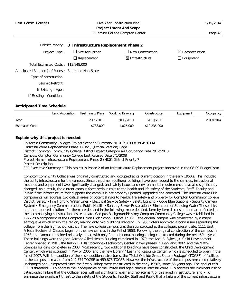| Calif. Comm. Colleges                               | Five Year Construction Plan<br><b>Project Intent And Scope</b> |                                  |                            |
|-----------------------------------------------------|----------------------------------------------------------------|----------------------------------|----------------------------|
|                                                     |                                                                | El Camino College Compton Center | Page 45                    |
|                                                     | District Priority: 3 Infrastructure Replacement Phase 2        |                                  |                            |
| Project Type:                                       | $\Box$ Site Acquisition                                        | $\Box$ New Construction          | $\boxtimes$ Reconstruction |
|                                                     | $\Box$ Replacement                                             | $\boxtimes$ Infrastructure       | $\Box$ Equipment           |
| Total Estimated Costs: \$13,848,000                 |                                                                |                                  |                            |
| Anticipated Source(s) of Funds: State and Non-State |                                                                |                                  |                            |
| Type of construction:                               |                                                                |                                  |                            |
| Seismic Retrofit:                                   |                                                                |                                  |                            |
| If Existing - Age :                                 |                                                                |                                  |                            |
| If Existing - Condition :                           |                                                                |                                  |                            |

|                       | Land Acquisition | Preliminary Plans | Working Drawing | Construction | Equipment | Occupancy |
|-----------------------|------------------|-------------------|-----------------|--------------|-----------|-----------|
| Year                  |                  | 2009/2010         | 2009/2010       | 2010/2011    |           | 2013/2014 |
| <b>Estimated Cost</b> |                  | \$788,000         | \$825,000       | \$12,235,000 |           |           |

# **Explain why this project is needed:**

California Community Colleges Project Scenario Summary 2010 7/1/2008 3:04:26 PM Infrastructure Replacement Phase 1 (H&S) (Official Version) Page 1 District: Compton Community College District Project Category A4 Occupancy Date 2012/2013 Campus: Compton Community College Last Revised Date 7/1/2008 Project Name: Infrastructure Replacement Phase 2 (H&S) District Priority 7 Project Description: FPP Executive Summary : This project is Phase 2 of an Infrastructure Replacement project approved in the 08-09 Budget Year.

Compton Community College was originally constructed and occupied at its current location in the early 1950's. This included the utility infrastructure for the campus. Since that time, additional buildings have been added to the campus, instructional methods and equipment have significantly changed, and safety issues and environmental requirements have also significantly changed. As a result, the current campus faces serious risks to the health and life safety of the Students, Staff, Faculty and Public if the infrastructure that supports the campus is not properly updated, upgraded and corrected. The Infrastructure FPP components will address two critical areas of potential risks to health, life safety and property for Compton Community College District: Safety • Fire Fighting Water Lines • Electrical Service Safety • Safety Lighting • Code Blue Stations • Security Camera System • Emergency Communications Public Health • Sanitary Sewer Restoration • Elimination of Standing Water These risks and the proposed solutions for them are detailed in the following, more detailed, item-by-item discussion, and are reflected in the accompanying construction cost estimate. Campus Background/History Compton Community College was established in 1927 as a component of the Compton Union High School District. In 1933 the original campus was devastated by a major earthquake which struck the region, leaving only two buildings standing. In 1950 voters approved a bond issue separating the college from the high school district. The new college campus was then constructed at the college's present site, 1111 East Artesia Boulevard. Classes began on the new campus in the Fall of 1953. Following the original construction of the campus in 1953, the campus remained relatively intact, with only four additional buildings being constructed during the next 50 + years. These buildings were the Jane Astredo Allied Health Building completed in 1979, the Abel B. Sykes, Jr. Child Development Center opened in 1981, the Ralph C. Dills Vocational-Technology Center in two phases in 1999 and 2002, and the Math-Sciences building completed in 2003. Most recently, two additional buildings have been constructed, the Child Development Center, which was occupied in May of 2006, and the new Library / Learning Resource Center, which is scheduled to open in the fall of 2007. With the addition of these six additional structures, the "Total Outside Gross Square Footage" (TOGSF) of facilities at the campus increased from 242,574 TOGSF to 459,873 TOGSF. However the infrastructure of the campus remained relatively unchanged and unimproved since the first buildings were constructed in the early 1950's, some 55 years ago. The goal of this FPP is threefold: • To address the inadequacies of the limited and aged campus infrastructure • To address the imminent risk of catastrophic failure that the College faces without significant repair and replacement of this aged infrastructure, and • To eliminate the significant threat to the safety of the Students, Faculty, Staff and Public that a failure of the current infrastructure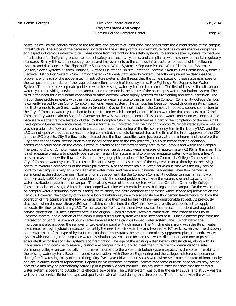El Camino College Compton Center **Page 46** 

poses, as well as the serious threat to the facilities and program of instruction that arises from the current status of the campus infrastructure. The scope of the necessary upgrades to the existing campus infrastructure facilities covers multiple disciplines and aspects of campus infrastructure. These range from fire fighting life safety systems, to sanitary sewer systems, to roadway infrastructure for firefighting access, to student safety and security systems, and compliance with new environmental regulatory standards. Simply listed, the necessary repairs and improvements to the campus infrastructure address all of the following systems and disciplines: • Fire Fighting/Fire Suppression Water Systems • Separate Potable Water Distribution Systems • Sanitary Sewer Systems • Storm Drainage, Surface Run-off and On-site Retention Systems • Natural Gas Distribution Systems • Electrical Distribution System • Site Lighting System • Student/Staff Security System The following narrative describes the problems with each of the above-listed infrastructure systems, the threats that the current status of these systems impose on the campus, and the nature of the required corrections to each of these systems. Fire Fighting / Fire Suppression Water Systems There are three separate problems with the existing water system on the campus. The first of these is the off-campus water system providing service to the campus, and the second is the nature of the on-campus water distribution system. The third is the need for a redundant connection to other external water supply systems for fire fighting and fire suppression. The first of these problems exists with the fire suppression water service to the campus. The Compton Community College Campus is currently served by the City of Compton municipal water system. The campus has been connected through an 8-inch supply line that connects to an 8-inch water line on Greenleaf Blvd on the north side of the Campus. In 2006, a second connection to the City of Compton water system had to be constructed which is comprised of a 10-inch waterline that connects to a 12-inch Compton City water main on Santa Fe Avenue on the west side of the campus. This second water connection was necessitated because while the fire flow tests conducted by the Compton City Fire Department as a part of the completion of the new Child Development Center were acceptable, those run for the LRC indicated that the City of Compton Municipal water system was not providing adequate flow and pressure to ensure the proper functioning of the fire sprinkler system in the Library/LRC, and the LRC cannot open without this correction being completed. (It should be noted that at the time of the initial approval of the CDC and the LRC projects, City fire flow tests indicated that the flow capacities were just barely at the minimum, and therefore the City opted for additional testing prior to occupancy of the first of the two projects.) This also means that no additional construction could occur on the campus without increasing the fire flow capacity both to the Campus and within the Campus. The existing City of Compton water system, on average, yields a static water pressure of approximately 62 PSI in this area. This is not adequate pressure to properly operate the fire sprinkler system, and to provide adequate water flow to fight a fire. A possible reason the low fire flow rates is due to the geographic location of the Compton Community College Campus within the City of Compton water system. The campus lies at the very southeast corner of the city service area, thereby not receiving optimum hydraulic advantages of the municipal system. Also the water main in Greenleaf Avenue that was the only service point to the campus is only an 8-inch diameter water main, and there are substantial head-losses when flow demand is summoned at the school campus. Normally for a development like the Compton Community College campus, a fire flow of approximately 2500 GPM or greater would be optimal. The second problem exists with the nature, size and capacity of the water distribution system on the campus. The existing water distribution system within the Compton Community College Campus consists of a single 8-inch diameter looped waterline which encircles most buildings on the campus. On the whole, the on-campus water distribution system is adequate to satisfy the basic demands for domestic water service requirements on the Campus. However, the capacity of this single loop distribution system to also satisfy fire flow demands—demands for both the operation of fire sprinklers in the few buildings that have them and for fire fighting—are questionable at best. As previously discussed, when the new Library/LRC was finalizing construction, the City's fire flow test results were deficient to supply adequate fire flow to the Library/LRC. To increase the fire flow for these two new facilities, a second, upsized and upgraded service connection—10 inch diameter versus the original 8 inch diameter Greenleaf connection—was made to the City of Compton system, and a portion of the campus loop distribution system was also increased to a 10-inch diameter pipe from the intersection of Santa Fe Ave and South Tartar Lane east to the campus looped water system. This 10-inch water line improvement also included the removal of two existing parallel 4-inch meters. The 4-inch meters along with the 8-inch water line created enough hydraulic restriction to justify the new 10-inch water line and two in-line 10" backflow valves. The discovery and replacement of this type of hydraulic constriction demonstrates the need to completely upgrade/replace the entire water system with new, larger and separate water distribution systems—one for domestic water distribution, and one to provide adequate flow for fire sprinkler systems and fire fighting. The age of the existing water system infrastructure, along with its inadequate sizing combine to severely restrict any campus growth, and to meet the future fire flow demands for a safe community college campus. Equally, if not more important to the water distribution system capacity, is the state of reliability of the existing water system. Based on recent conversations with Chevron Engineering and the college maintenance personnel, during fire flow testing many of the existing, fifty-five+ year old water line valves were witnessed to be in a state of inoperability and are in critical need of replacement. Reports by maintenance personnel indicate that some of these aged valves may not be accessible and may be permanently seized up in a partially closed position. This provides further evidence that the campus water system is operating outside of its effective service life. The water system was built in the early 1950's, and at 55+ years is well over the service life for the type and quality of materials used during that time period. The third issue with the water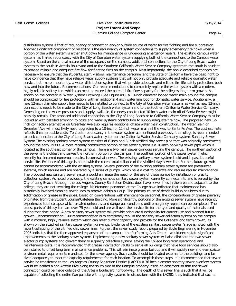# Calif. Comm. Colleges Five Year Construction Plan 5/19/2014 **Project Intent And Scope** El Camino College Compton Center **Page 47**

distribution system is that of redundancy of connection and/or outside source of water for fire fighting and fire suppression. Another significant component of reliability is the redundancy of system connections to supply emergency fire flows when a portion of the water system is either shut down for maintenance or undergoing emergency repairs. The existing campus water system has limited redundancy with the City of Compton water system supplying both of the connections to the Campus water system. Based on the critical nature of the occupancy on the campus, additional connections to the City of Long Beach water system to the south in Artesia Boulevard and to the Southern California Water Service Company system to the south is prudent to provide reliable and adequate fire flow for fighting fires on the campus. Most importantly, the above described changes are necessary to ensure that the students, staff, visitors, maintenance personnel and the State of California have the basic right to have confidence that they have reliable water supply systems that will not only provide adequate and reliable domestic water service, but, more importantly, a water distribution system that will provide adequate and reliable fire life safety protection, both now and into the future. Recommendations: Our recommendation is to completely replace the water system with a modern, highly reliable split system which can meet or exceed the potential fire flow capacity for the college's long term growth. As shown on the conceptual Water System Drawings (See Figure #1), a 10-inch diameter looped water main around the campus should be constructed for fire protection, with an additional 4 inch water line loop for domestic water service. Additionally, a new 12-inch diameter supply line needs to be installed to connect to the City of Compton water system, as well as new 12-inch connections needs to be made to the City of Long Beach water system and to the Southern California Water Service Company. Depending on the water pressures and supply available, the newly constructed 10-inch water main off of Santa Fe Ave might possibly remain. The proposed additional connection to the City of Long Beach or to California Water Service Company must be looked at with detailed attention to costs and water systems contribution to supply adequate fire flow. The proposed new 12 inch connection alternative on Greenleaf Ave also requires additional offsite water main construction. The water main on Greenleaf Ave will most likely need upgrading to a 10-inch or 12-inch water main all the way to Santa Fe Ave. The cost estimate reflects these probable costs. To create redundancy in the water system as mentioned previously, the college is recommended to seek connection to the City of Long Beach water system or the California Water Service Company system. Sanitary Sewer System The existing sanitary sewer system consists of 6-inch and 8-inch vitrified clay sewer pipe that was originally constructed around the early 1930's. A more recently constructed portion of the sewer system is a 10-inch polyvinyl sewer pipe which is located at the southeast corner of the campus. There are two main sewer corridors serving the campus. The northern section of the sewer is the oldest and serves the northern portion of the campus. The southern portion of the sewer system, which recently has incurred numerous repairs, is somewhat newer. The existing sanitary sewer system is old and is past its useful service life. Evidence of this age is noted with the recent total collapse of the vitrified clay sewer line. Further, future growth cannot be accommodated with the existing system. Several portions of the existing sanitary sewer system are pressurized systems, which require and are operated by a series of pumps, which have a cost to operate and require regular maintenance. The proposed new sanitary sewer system would eliminate the need for the use of these pumps by installation of gravity collection system. As noted previously, the existing campus sanitary sewer system currently connects into and is served by the City of Long Beach. Although the Los Angeles County Sanitation District does have sewer lines in the area and adjacent to the college, they are not servicing the college. Maintenance personnel at the College have indicated that maintenance has historically involved cleaning sewer lines to remove debris buildup. The primary cause of debris buildup has been due to solidification of grease in the pipes. Based on conversations with maintenance personnel, the concentrations of grease primarily originated from the Student Lounge/Cafeteria Building. More significantly, portions of the existing sewer system have recently experienced total collapse which created unhealthy and dangerous conditions until emergency repairs can be completed. The oldest parts of this system are over 75 years old and are well over the service life for the type and quality of materials used during that time period. A new sanitary sewer system will provide adequate functionality for current use and planned future growth. Recommendation: Our recommendation is to completely rebuild the sanitary sewer collection system on the campus with a modern, highly reliable system which can meet current capacity and provide for the College's long term growth, as shown on the attached sanitary sewer system drawings. Evidence of the existing sanitary sewer system's age is noted with the recent collapsing of the vitrified clay sewer lines. Further, the sewer study report prepared by Boyle Engineering in November 2005 indicates that the then-approved expansion of the campus—the Performing Arts Center—would necessitate significant improvements to the sanitary sewer system. Implementing a new sanitary sewer system will also eliminate the two sewer ejector pump systems and convert them to a gravity collection system, saving the College long term operational and maintenance costs. It is recommended that grease interceptor vaults to serve all buildings that have food services should also be installed to offset long term maintenance problems. This will eliminate grease buildup and it will satisfy new and ever stricter environmental requirements mandated for the sewer agency. Such vaults should be located external to the buildings and be sized adequately to meet the capacity requirements for each location. To accomplish these steps, it is recommended that sewer service be transferred to the Los Angeles County Sanitation District (LACSD) A 36-inch diameter sanitary sewer overflow system would be located along Artesia Blvd along the south side of the Campus property inside an easement so that the sewer connection could be made outside of the Artesia Boulevard right-of-way. The depth of this sewer line is such that it will be capable of collecting the entire Campus site with a gravity system. In discussions with the LACSD, they indicated that such a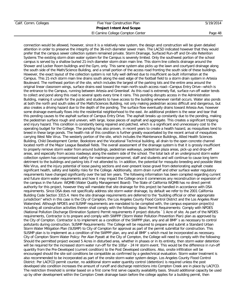El Camino College Compton Center **Page 48** 

connection would be allowed, however, since it is a relatively new system, the design and construction will be given detailed attention in order to preserve the integrity of the 36-inch diameter sewer main. The LACSD indicated however that they would prefer that the campus sewer collection system remained private. Storm Drainage, Surfaced Run-off and On-site Retention Systems The existing storm drain water system for the Campus is severely limited. Only the southwest portion of the school campus is served by a shallow buried 21-inch diameter storm drain main line. This storm line collects drainage around the Shower and Locker Room buildings and the Gym, only. This same system also picks up the lawn and courtyard drainage along the south side of the Math/Science Building, and a small portion of the access road fronting the south side of these buildings. However, the exact layout of the collection system is not fully well defined due to insufficient as-built information at the Campus. This 21-inch storm main line drains south along the east edge of the football field to a storm drain system in Artesia Boulevard. The northeast portion of the site, which includes the largest of the parking lots and the entire area around the original linear classroom wings, surface drains east toward the main north-south access road—Campus Entry Drive—which is the entrance to the Campus, running between Artesia and Greenleaf. As this road is extremely flat, surface run-off water tends to collect and pond along this road is several spots every time it rains. This ponding disrupts access in the Administration Building, making it unsafe for the public and students to have access to the building whenever rainfall occurs. Water also ponds at both the north and south sides of the Math/Sciences Building, not only making pedestrian access difficult and dangerous, but also creates a driving hazard due to the depth of the ponding. The surface flow eventually drains toward Artesia Ave, however some drainage eventually flows into the residential neighborhood to the east. An additional problem is the wear and tear that this ponding causes to the asphalt surface of Campus Entry Drive. The asphalt breaks up constantly due to the ponding, making the pedestrian surface rough and uneven, with large, loose pieces of asphalt and aggregate. This creates a significant tripping and injury hazard. This condition is constantly being repaired and patched, which is a significant and unnecessary cost to the operating budget for the College. The ponding has also proven, in recent years to create a health hazard, as mosquitoes tend to breed in these large ponds. The health risk of this condition is further greatly exacerbated by the recent arrival of mosquitoes carrying West Nile Virus. The westerly portion of the site, which includes the Maintenance Buildings, Allied Health Sciences Building, Child Development Center, Bookstore and the Vocational Technical building, all drain to the open concrete channel located north of the Major League Baseball fields. The overall assessment of the drainage system is that it is grossly insufficient to properly remove storm water from around buildings, pedestrian walkways, pedestrian plaza areas, pick-up and drop-off areas, and especially from access roadways along the eastern side of the school. The total lack of an underground storm water collection system has compromised safety for maintenance personnel, staff and students and will continue to cause long term detriment to the buildings and parking lots if not attended to. In addition, the potential for mosquito breeding and possible West Nile Virus, and the injury potential of loose paving sections and ever-present loose gravel from deteriorating asphalt create significant health, safety and liability risks for the College. Additionally, storm drain runoff and other surface water regulatory requirements have changed significantly over the last ten years. The following information has been compiled regarding current and future storm water requirements and how it may impact the College once it commences any reconstruction or expansion of the campus in the future: WQMB (Water Quality Management Board): The State of California WQMB has no direct permit authority for this project, however they will mandate that site drainage for this project be handled in accordance with DSA requirements. Since DSA does not specifically address site storm water drainage, by default we refer to the 2001 California Building Code Section 3315.4. Here the site drainage requirements are deferred to the "building official or other appropriate jurisdiction" which in this case is the City of Compton, the Los Angeles County Flood Control District and the Los Angeles River Watershed. Although NPDES and SUSMP requirements are mandated to be complied with, the campus expansion project(s) including all construction activities therein shall comply with the following: Basic Permit Requirements: Comply with NPDES (National Pollution Discharge Elimination System) Permit requirements if project disturbs `1 Acre of site. As part of the NPDES requirements, Contractor is to prepare and comply with SWPPP (Storm Water Pollution Prevention Plan) plan as approved by the City of Compton. Contractor is to implement as a condition of the SWPPP plan, any and all BMP`s as necessary to control pollutants during construction. SUSMP Requirements: The College will be required to prepare and submit a Standard Urban Storm Water Mitigation Plan (SUSMP) to City of Compton for approval as part of the permit submittal for construction. This SUSMP plan is to implement as a condition of the SWPPP plan, any and all BMP`s which must be incorporated as necessary. City of Compton Storm Water Policy: Per Alan Pyeatt at the City of Compton, the College will need to comply with the following: Should the permitted project exceed 5 Acres in disturbed area, whether in phases or in its entirety, then storm water detention will be required for the increased storm water run-off for the 100yr - 24 Hr storm event. This would be the difference in run-off quantity from the Pre-Developed (current condition) to the Post Developed conditions. Also, onsite infiltration will be encouraged should the site soil conditions be compatible as confirmed by a geotechnical evaluation. Storm water treatment is also recommended to be incorporated as part of the onsite storm water system design. Los Angeles County Flood Control District: Per LACFCD permit counter, no additional storm water quantity control (detention) is required unless the post developed site condition increases the amount of runoff and discharge restrictions into Compton Creek are in place by LACFCD. The restriction threshold is similar based on a first come first serve capacity availability basis. Should additional capacity be used up by other development within the Compton Creek drainage basin before the college applies for a building permit, then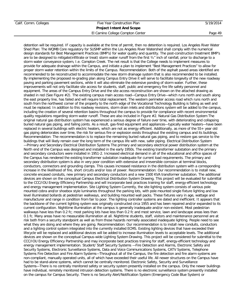El Camino College Compton Center **Page 49** 

detention will be required. IF capacity is available at the time of permit, then no detention is required. Los Angeles River Water Shed Plan: The WQMB Core regulatory for SUSMP within the Los Angeles River Watershed shall comply with the numerical design standards for Best Management Practices (BMP's) for water quality and quantity. The post-construction treatment BMP's are to be designed to mitigate(infiltrate or treat) storm water runoff from the first ¾" inch of rainfall, prior to discharge to a storm water conveyance system, I.e. Compton Creek. The net result is that the College needs to implement measures to provide for adequate drainage within the Campus, and initiate a plan to implement "Best Management Practices" to allow for proper storm water retention within the limits of the Campus. Recommendation: Both of the asphalt paved areas identified are recommended to be reconstructed to accommodate the new storm drainage system that is also recommended to be installed. By implementing the proposed re-grading plan along Campus Entry Drive it will serve to facilitate longevity of the new roadway paving and parking pavement sections, while it will also eliminate the extensive ponding of storm water. Further, these improvements will not only facilitate site access for students, staff, public and emergency fire life safety personnel and equipment. The areas of the Campus Entry Drive and the site access reconstruction are shown on the attached drawing as shaded in red (See Figure #2). The existing campus main access road—Campus Entry Drive—which runs north and south along the east property line, has failed and will require total replacement. The western perimeter access road which runs north and south from the northwest corner of the property to the north edge of the Vocational Technology Building is failing as well and must be replaced. In addition to this roadway revisions, storm drain inlets and distributions system will be added to the campus, including the creation of several retention basins throughout the campus to provide for compliance with recent environmental quality regulations regarding storm water runoff. These are also included in Figure #2. Natural Gas Distribution System The original natural gas distribution system has experienced a serious degree of failure over time, with deteriorating and collapsing buried natural gas piping, and failing joints. As a result, gas-fired equipment and appliances—typically water heaters—have been replaced in several buildings with electric heaters, which are not as energy efficient. Additionally, as more of the 55+ year old gas piping deteriorates over time, the risk for serious fire or explosion exists throughout the existing campus and its buildings. Recommendation: The recommendation is to replace the remaining buried natural gas piping, and to restore gas service to the buildings that will likely remain over the long term of the campus life with new, safer piping. Electrical Distribution System —Primary and Secondary Electrical Distribution Systems The primary and secondary electrical power distribution system at the North end of the Campus was designed and installed in the early 1950s. The existing transformer substation and the primary and secondary conductors were installed in 1951-2. Increased electrical demand in all of the educational and office spaces of the Campus has rendered the existing transformer substation inadequate for current load requirements. The primary and secondary distribution system is also in very poor condition with extensive and irreversible corrosion at terminal blocks, conductors, connectors and grounding clamps. This causes increased resistance in the distribution system with a corresponding increase in the likelihood of fire, short circuits and/or loss of power. Recommendation: Our recommendation is to install new, concrete encased conduits, new primary and secondary conductors and a new 1500 KVA transformer substation. The additional devices are shown on the conceptual Campus Electrical Distribution System Drawing. This project will be evaluated for submittal to the CCC/IOU Energy Efficiency Partnership and will incorporate best practices training for staff, energy-efficient technology and energy management implementation. Site Lighting System Currently, the site lighting system consists of various pole mounted cobra and/or shoebox style luminaries throughout the parking lots, with pole mounted single fixture lighting and low level illuminated bollards at pedestrian walkways, and building mounted wall packs. These fixtures vary in age, wattage and manufacturer and range in condition from fair to poor. The lighting controller systems are dated and inefficient. It appears that the backbone of the current lighting system was originally constructed circa 1955 and has been repaired and/or expanded to its current configuration. Nighttime illumination at the campus is generally inadequate and/or non-existent. Most pedestrian walkways have less than 0.2 fc; most parking lots have less than 0.2 fc and most service, lawn and landscape areas lees than 0.1 fc. Many areas have no measurable illumination at all. Nighttime students, staff, visitors and maintenance personnel are at risk both from a security standpoint as well as from those hazards normally associated inadequate lighting. People need to see what they are doing and where they are going. Recommendation: Our recommendation is to install new conduits, conductors and a lighting control system integrated into the currently installed ECMS. Existing lighting devices that have exceeded their lifecycle will be replaced and additional devices will be added to increase illumination levels to acceptable levels. The additional devices are shown on the conceptual Campus-wide Lighting System Drawing. This project will be considered for submittal to the CCC/IOU Energy Efficiency Partnership and may incorporate best practices training for staff, energy-efficient technology and energy management implementation. Student/ Staff Security Systems —Fire Detection and Alarms, Electronic Safety and Security Systems, Electronic Surveillance Systems, Data and Voice Communications Systems, CATV Systems, Telephone Systems Fire Detection and Fire Alarm Systems—Throughout all of the Campus, the fire detection and fire alarm systems are non-compliant, manually operated units, all of which have exceeded their useful life. All newer structures on the Campus have had to be stand-alone systems, which cannot be centrally monitored. Electronic Safety, Security and Surveillance Systems—There is no centrally monitored safety or security system presently installed on the campus. Only the newer buildings have individual, remotely monitored intrusion detection systems. There is no electronic surveillance system presently installed on the campus for Campus Security. There is no Security Alert/Notification System (Emergency Code Blue System) or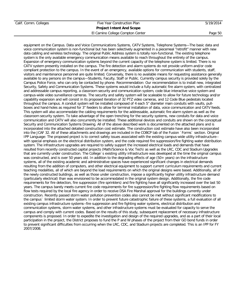El Camino College Compton Center **Page 50** 

equipment on the Campus. Data and Voice Communications Systems, CATV Systems, Telephone Systems—The basic data and voice communication system is non-functional but has been selectively augmented in a piecemeal "retrofit" manner with new data cabling and wireless technology. The original Public Address system is totally non-functional. The existing telephone system is the only available emergency communication means available to reach throughout the entirety of the campus. Expansion of emergency communication systems beyond the current capacity of the telephone system is limited. There is no CATV system presently installed on the campus. The fire detection and alarm systems do not provide uniform and/or code compliant protection to the campus. In the event of an emergency, available options for communication with students, staff, visitors and maintenance personnel are quite limited. Conversely, there is no available means for requesting assistance generally available to any persons on the campus—Students, Faculty, Staff or Public. Currently campus security is provided solely by the Campus Police Force, who can only be contacted by phone. Recommendation: Our recommendation is to install new, integrated Security, Safety and Communication Systems. These systems would include a fully automatic fire alarm system, with centralized and addressable campus reporting, a classroom security and communication system, code blue interactive voice system and campus-wide video surveillance cameras. The security and safety system will be scaleable to allow for future technology and/or capability expansion and will consist in its proposed iteration of 32 PTZ video cameras, and 12 Code Blue pedestals located throughout the campus. A conduit system will be installed composed of 4 each 5" diameter main conduits with vaults, pullboxes and hand-holes as required for 3" feeders to allow for terminal installation of data, voice communication and CATV feeds. This system will also accommodate the cabling requirements for the addressable, automatic fire alarm system as well as the classroom security system. To take advantage of the open trenching for the security systems, new conduits for data and voice communication and CATV will also concurrently be installed. These additional devices and conduits are shown on the conceptual Security and Communication Systems Drawing. All of the above described work is documented on the attached plans and is incorporated into the attached detailed construction cost estimate. The construction cost estimate have also been incorporated into the JCAF 32. All of these attachments and drawings are included in the COBCP tab of the Fusion `Forms` section. Original IPP Language: The proposed project is to correct safety issues associated with the existing campus-wide utility infrastructure- with special emphasis on the electrical distribution system, and the code required fire suppression/fire fighting water distribution system. The infrastructure upgrades are required to safely support the increased electrical loads and demands that have resulted from recently constructed capital projects (Math/Science & Voc Tech) as well as the LRC, CDC and Stadium Upgrades that are currently under construction. The College`s existing utility infrastructure was developed at the time the original campus was constructed, and is over 50 years old. In addition to the degrading effects of age (50+ years) on the infrastructure systems, all of the existing academic and administrative spaces have experienced significant changes in electrical demands resulting from the addition of computers, and other electrical equipment to support current curriculum requirements and current teaching modalities, all of which are beyond the load requirements on which the original designs were based. Additionally, all of the newly constructed buildings, as well as those under construction, impose a significantly higher utility infrastructure demand (particularly electrical) than was envisioned to be accommodated in the original system design. Additionally, the fire code requirements for fire detection, fire suppression (fire sprinklers) and fire fighting have all significantly increased over the last 50 years. The campus barely meets current fire code requirements for fire suppression/fire fighting flow requirements based on flow tests required by the local fire agency in order to receive DSA Fire Marshal approval for the buildings currently under construction. Recently passed storm water pollution prevention codes also cannot be met without significant modifications to the campus` limited storm water system. In order to prevent future catastrophic failure of these systems, a full evaluation of all existing campus infrastructure systems--fire suppression and fire fighting water systems, electrical distribution and communication systems, storm water systems, and other infrastructure systems must be evaluated for capacity to serve the campus and comply with current codes. Based on the results of this study, subsequent replacement of necessary infrastructure components is proposed. In order to expedite the investigation and design of the required upgrades, and as a part of their local participation in the project, the District proposes to fund the P and W phases of the project from their GO bond funds in order to prevent significant difficulties from occurring when the LRC, CDC, and Stadium projects are completed. This is an IPP for FY 2007/2008.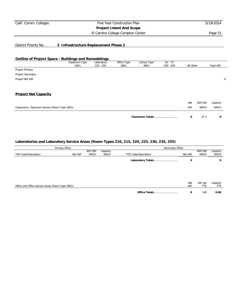# **Project Intent And Scope**

El Camino College Compton Center **Page 51** 

District Priority No.: **3 Infrastructure Replacement Phase 2**

### **Outline of Project Space - Buildings and Remodelings**

|                                                 | Classroom Type<br>100's | Laboratory<br>$210 - 255$ | Office Type<br>300's | Library Type<br>400's | AV - TV<br>$530 - 535$ | All Other |             | <b>Total ASF</b> |   |
|-------------------------------------------------|-------------------------|---------------------------|----------------------|-----------------------|------------------------|-----------|-------------|------------------|---|
| Project Primary                                 |                         |                           |                      |                       |                        |           |             |                  |   |
| Project Secondary                               |                         |                           |                      |                       |                        |           |             |                  |   |
| Project Net ASF                                 |                         |                           |                      |                       |                        |           |             |                  | 0 |
| <b>Project Net Capacity</b>                     |                         |                           |                      |                       |                        |           |             |                  |   |
|                                                 |                         |                           |                      |                       |                        | Net       | ASF/100     | Capacity         |   |
| Classrooms, Classroom Service (Room Type 100's) |                         |                           |                      |                       |                        | ASF       | <b>WSCH</b> | <b>WSCH</b>      |   |
|                                                 |                         |                           |                      | Classroom Totals      |                        | 0         | 47.3        | $\mathbf 0$      |   |

| Primary Effect                                    |         |                        | Secondary Effect        |                      |                                            |     |                         |  |
|---------------------------------------------------|---------|------------------------|-------------------------|----------------------|--------------------------------------------|-----|-------------------------|--|
| TOP Code/Description                              | Net ASF | ASF/100<br><b>WSCH</b> | Capacity<br><b>WSCH</b> | TOP Code/Description | Net ASF                                    |     | Capacity<br><b>WSCH</b> |  |
|                                                   |         |                        |                         | Laboratory Totals    | 0                                          |     | 0                       |  |
|                                                   |         |                        |                         |                      |                                            |     |                         |  |
|                                                   |         |                        |                         |                      |                                            |     |                         |  |
| Office and Office Service Areas (Room Type 300's) |         |                        |                         |                      | <b>Net</b><br>ASF per<br>ASF<br><b>FTE</b> |     | Capacity<br>FTE         |  |
|                                                   |         |                        |                         | Office Totals        | 0                                          | 140 | 0.00                    |  |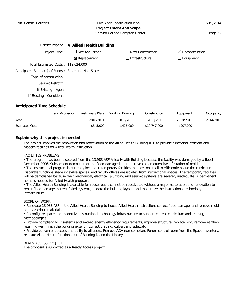| Calif. Comm. Colleges                               | Five Year Construction Plan                 | 5/19/2014               |                            |
|-----------------------------------------------------|---------------------------------------------|-------------------------|----------------------------|
|                                                     | <b>Project Intent And Scope</b>             |                         |                            |
|                                                     | El Camino College Compton Center            |                         | Page 52                    |
|                                                     | District Priority: 4 Allied Health Building |                         |                            |
| Project Type:                                       | $\Box$ Site Acquisition                     | $\Box$ New Construction | $\boxtimes$ Reconstruction |
|                                                     | $\boxtimes$ Replacement                     | $\Box$ Infrastructure   | $\Box$ Equipment           |
| Total Estimated Costs: \$12,624,000                 |                                             |                         |                            |
| Anticipated Source(s) of Funds: State and Non-State |                                             |                         |                            |
| Type of construction:                               |                                             |                         |                            |
| Seismic Retrofit:                                   |                                             |                         |                            |
| If Existing - Age :                                 |                                             |                         |                            |
| If Existing - Condition:                            |                                             |                         |                            |

|                       | Land Acquisition | Preliminary Plans | Working Drawing | Construction | Equipment | Occupancy |
|-----------------------|------------------|-------------------|-----------------|--------------|-----------|-----------|
| Year                  |                  | 2010/2011         | 2010/2011       | 2010/2011    | 2010/2011 | 2014/2015 |
| <b>Estimated Cost</b> |                  | \$545,000         | \$425,000       | \$10,747,000 | \$907,000 |           |

### **Explain why this project is needed:**

The project involves the renovation and reactivation of the Allied Health Building #26 to provide functional, efficient and modern facilities for Allied Health instruction,

#### FACILITIES PROBLEMS

• The program has been displaced from the 13,983 ASF Allied Health Building because the facility was damaged by a flood in December 2006. Subsequent demolition of the flood-damaged interiors revealed an extensive infestation of mold.

• The instructional program is currently located in temporary facilities that are too small to efficiently house the curriculum. Disparate functions share inflexible spaces, and faculty offices are isolated from instructional spaces. The temporary facilities will be demolished because their mechanical, electrical, plumbing and seismic systems are severely inadequate. A permanent home is needed for Allied Health programs.

• The Allied Health Building is available for reuse, but it cannot be reactivated without a major restoration and renovation to repair flood damage, correct failed systems, update the building layout, and modernize the instructional technology infrastructure.

#### SCOPE OF WORK

• Renovate 13,983 ASF in the Allied Health Building to house Allied Health instruction, correct flood damage, and remove mold and hazardous materials.

• Reconfigure space and modernize instructional technology infrastructure to support current curriculum and learning methodologies.

• Provide compliant MEP systems and exceed energy efficiency requirements; improve structure, replace roof; remove earthen retaining wall, finish the building exterior, correct grading, culvert and sidewalk.

• Provide convenient access and utility to all users. Remove ADA non-compliant Forum control room from the Space Inventory, relocate Allied Health functions out of Building D and the Library.

### READY ACCESS PROJECT

The proposal is submitted as a Ready Access project.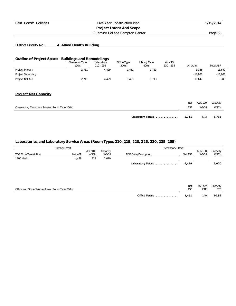El Camino College Compton Center **Page 53** 

# District Priority No.: **4 Allied Health Building**

#### **Outline of Project Space - Buildings and Remodelings**

|                   | Classroom Type<br>100's | Laboratory<br>$210 - 255$ | Office Type<br>300's | Library Type<br>400's | $AV - TV$<br>$530 - 535$ | All Other | <b>Total ASF</b> |
|-------------------|-------------------------|---------------------------|----------------------|-----------------------|--------------------------|-----------|------------------|
| Project Primary   | 2,711                   | 4.429                     | .451                 | .713                  |                          | 3,336     | 13,640           |
| Project Secondary |                         |                           |                      |                       |                          | $-13.983$ | $-13,983$        |
| Project Net ASF   | 2,711                   | 4.429                     | .451                 | .713                  |                          | $-10.647$ | $-343$           |

### **Project Net Capacity**

| Classrooms, Classroom Service (Room Type 100's) |                        | Net<br>ASF | ASF/100<br><b>WSCH</b> | Capacity<br><b>WSCH</b> |
|-------------------------------------------------|------------------------|------------|------------------------|-------------------------|
|                                                 | Classroom Totals 2,711 |            | 47.3                   | 5.732                   |

|                                                   | Primary Effect |             |             | Secondary Effect     |            |                       |                 |
|---------------------------------------------------|----------------|-------------|-------------|----------------------|------------|-----------------------|-----------------|
|                                                   |                | ASF/100     | Capacity    |                      |            | ASF/100               | Capacity        |
| TOP Code/Description                              | Net ASF        | <b>WSCH</b> | <b>WSCH</b> | TOP Code/Description | Net ASF    | <b>WSCH</b>           | <b>WSCH</b>     |
| 1200 Health                                       | 4,429          | 214         | 2,070       |                      |            |                       |                 |
|                                                   |                |             |             | Laboratory Totals    | 4,429      |                       | 2,070           |
|                                                   |                |             |             |                      |            |                       |                 |
| Office and Office Service Areas (Room Type 300's) |                |             |             |                      | Net<br>ASF | ASF per<br><b>FTE</b> | Capacity<br>FTE |
|                                                   |                |             |             | Office Totals        | 1,451      | 140                   | 10.36           |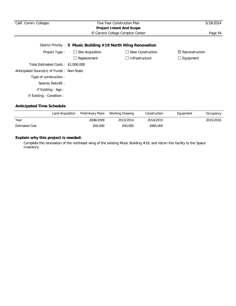| Calif. Comm. Colleges                                         |                         | Five Year Construction Plan | 5/19/2014                  |  |  |  |
|---------------------------------------------------------------|-------------------------|-----------------------------|----------------------------|--|--|--|
|                                                               |                         |                             |                            |  |  |  |
| El Camino College Compton Center<br>Page 54                   |                         |                             |                            |  |  |  |
| District Priority: 5 Music Building #19 North Wing Renovation |                         |                             |                            |  |  |  |
| Project Type:                                                 | $\Box$ Site Acquisition | New Construction            | $\boxtimes$ Reconstruction |  |  |  |
|                                                               | Replacement             | □ Infrastructure            | $\Box$ Equipment           |  |  |  |
| Total Estimated Costs: \$1,000,000                            |                         |                             |                            |  |  |  |
| Anticipated Source(s) of Funds: Non-State                     |                         |                             |                            |  |  |  |
| Type of construction:                                         |                         |                             |                            |  |  |  |
| Seismic Retrofit:                                             |                         |                             |                            |  |  |  |
| If Existing - Age:                                            |                         |                             |                            |  |  |  |
| If Existing - Condition :                                     |                         |                             |                            |  |  |  |

|                       | Land Acquisition Preliminary Plans Working Drawing |           | Construction | Equipment | Occupancy |
|-----------------------|----------------------------------------------------|-----------|--------------|-----------|-----------|
| Year                  | 2008/2009                                          | 2013/2014 | 2014/2015    |           | 2015/2016 |
| <b>Estimated Cost</b> | \$50,000                                           | \$50,000  | \$900,000    |           |           |

# **Explain why this project is needed:**

Complete the renovation of the northeast wing of the existing Music Building #19, and return this facility to the Space Inventory.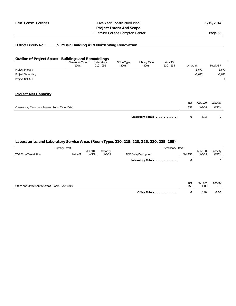El Camino College Compton Center **Page 55** 

# District Priority No.: **5 Music Building #19 North Wing Renovation**

### **Outline of Project Space - Buildings and Remodelings**

|                                                 | Classroom Type<br>100's | Laboratory<br>$210 - 255$ | Office Type<br>300's | Library Type<br>400's | AV - TV<br>$530 - 535$ | All Other |             | <b>Total ASF</b> |
|-------------------------------------------------|-------------------------|---------------------------|----------------------|-----------------------|------------------------|-----------|-------------|------------------|
| Project Primary                                 |                         |                           |                      |                       |                        |           | 3,677       | 3,677            |
| Project Secondary                               |                         |                           |                      |                       |                        |           | $-3,677$    | $-3,677$         |
| Project Net ASF                                 |                         |                           |                      |                       |                        |           |             | $\mathbf 0$      |
| <b>Project Net Capacity</b>                     |                         |                           |                      |                       |                        |           |             |                  |
|                                                 |                         |                           |                      |                       |                        | Net       | ASF/100     | Capacity         |
| Classrooms, Classroom Service (Room Type 100's) |                         |                           |                      |                       |                        | ASF       | <b>WSCH</b> | <b>WSCH</b>      |
|                                                 |                         |                           |                      | Classroom Totals      |                        | 0         | 47.3        | 0                |

| Primary Effect                                    |         |             | Secondary Effect |                      |         |             |          |
|---------------------------------------------------|---------|-------------|------------------|----------------------|---------|-------------|----------|
|                                                   |         | ASF/100     | Capacity         |                      |         | ASF/100     | Capacity |
| TOP Code/Description                              | Net ASF | <b>WSCH</b> | <b>WSCH</b>      | TOP Code/Description | Net ASF | <b>WSCH</b> | WSCH     |
|                                                   |         |             |                  | Laboratory Totals    | 0       |             | 0        |
|                                                   |         |             |                  |                      |         |             |          |
|                                                   |         |             |                  |                      |         |             |          |
|                                                   |         |             |                  |                      | Net     | ASF per     | Capacity |
| Office and Office Service Areas (Room Type 300's) |         |             |                  |                      | ASF     | <b>FTE</b>  | FTE      |
|                                                   |         |             |                  | Office Totals        | 0       | 140         | 0.00     |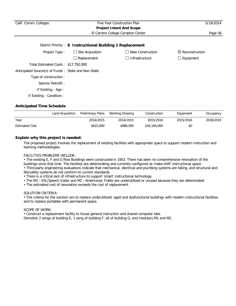| Calif. Comm. Colleges                               |                                                           | Five Year Construction Plan      | 5/19/2014                  |
|-----------------------------------------------------|-----------------------------------------------------------|----------------------------------|----------------------------|
|                                                     |                                                           | <b>Project Intent And Scope</b>  |                            |
|                                                     |                                                           | El Camino College Compton Center | Page 56                    |
|                                                     | District Priority: 6 Instructional Building 1 Replacement |                                  |                            |
| Project Type:                                       | $\Box$ Site Acquisition                                   | $\Box$ New Construction          | $\boxtimes$ Reconstruction |
|                                                     | $\Box$ Replacement                                        | $\Box$ Infrastructure            | $\Box$ Equipment           |
| Total Estimated Costs: \$17,792,000                 |                                                           |                                  |                            |
| Anticipated Source(s) of Funds: State and Non-State |                                                           |                                  |                            |
| Type of construction:                               |                                                           |                                  |                            |
| Seismic Retrofit:                                   |                                                           |                                  |                            |
| If Existing - Age :                                 |                                                           |                                  |                            |
| If Existing - Condition:                            |                                                           |                                  |                            |

|                       | Land Acquisition | Preliminary Plans | Working Drawing | Construction | Equipment | Occupancy |
|-----------------------|------------------|-------------------|-----------------|--------------|-----------|-----------|
| Year                  |                  | 2014/2015         | 2014/2015       | 2015/2016    | 2015/2016 | 2018/2019 |
| <b>Estimated Cost</b> |                  | \$622,000         | \$986,000       | \$16,184,000 | \$0       |           |

## **Explain why this project is needed:**

The proposed project involves the replacement of existing facilities with appropriate space to support modern instruction and learning methodologies.

### FACILITIES PROBLEMS INCLUDE:

• The existing E, F and G Row Buildings were constructed in 1953. There has been no comprehensive renovation of the buildings since that time. The facilities are deteriorating and currently configured as 'make-shift' instructional space.

• Third-party engineering evaluations indicate that mechanical, electrical and plumbing systems are failing, and structural and life/safety systems do not conform to current standards.

- There is a critical lack of infrastructure to support 'smart' instructional technology.
- The M1 ESL/Speech trailer and M2 Americorps Trailer are underutilized or unused because they are deteriorated.
- The estimated cost of renovation exceeds the cost of replacement.

#### SOLUTION CRITERIA:

• The criteria for the solution are to replace underutilized, aged and dysfunctional buildings with modern instructional facilities, and to replace portables with permanent space.

#### SCOPE OF WORK:

• Construct a replacement facility to house general instruction and shared computer labs.

Demolish 2 wings of building E, 1 wing of building F, all of building G, and modulars M1 and M2.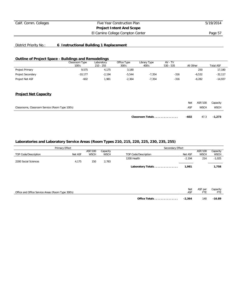El Camino College Compton Center **Page 57** 

# District Priority No.: **6 Instructional Building 1 Replacement**

### **Outline of Project Space - Buildings and Remodelings**

|                   | Classroom Type | Laboratory | Office Type | Library Type | $AV - TV$   |           |                  |
|-------------------|----------------|------------|-------------|--------------|-------------|-----------|------------------|
|                   | 100's          | 210 - 255  | 300's       | 400's        | $530 - 535$ | All Other | <b>Total ASF</b> |
| Project Primary   | 9,575          | 4.175      | 3,180       |              |             | 250       | 17.180           |
| Project Secondary | $-10.177$      | $-2.194$   | $-5.544$    | $-7.354$     | $-316$      | $-6,532$  | $-32,117$        |
| Project Net ASF   | $-602$         | .981       | $-2.364$    | $-7.354$     | $-316$      | $-6.282$  | $-14.937$        |

### **Project Net Capacity**

|                                                 | Classroom Totals | -602 | 47.3        | $-1.273$    |
|-------------------------------------------------|------------------|------|-------------|-------------|
| Classrooms, Classroom Service (Room Type 100's) |                  | ASF  | <b>WSCH</b> | <b>WSCH</b> |
|                                                 |                  | Net  | ASF/100     | Capacity    |

|                      | Primary Effect |             |             | Secondary Effect     |          |             |             |
|----------------------|----------------|-------------|-------------|----------------------|----------|-------------|-------------|
|                      |                | ASF/100     | Capacity    |                      |          | ASF/100     | Capacity    |
| TOP Code/Description | Net ASF        | <b>WSCH</b> | <b>WSCH</b> | TOP Code/Description | Net ASF  | <b>WSCH</b> | <b>WSCH</b> |
|                      |                |             |             | 1200 Health          | $-2.194$ | 214         | $-1,025$    |
| 2200 Social Sciences | 4.175          | 150         | 2.783       |                      |          |             |             |
|                      |                |             |             | Laboratory Totals    | 1.981    |             | 1.758       |

| Office and Office Service Areas (Room Type 300's) |               | Net<br>ASF | ASF per | Capacity |
|---------------------------------------------------|---------------|------------|---------|----------|
|                                                   | Office Totals | -2.364     | 140     | $-16.89$ |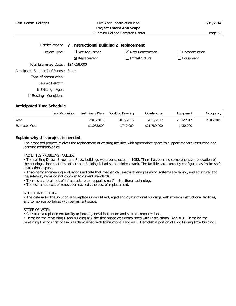# Calif. Comm. Colleges Five Year Construction Plan 5/19/2014 **Project Intent And Scope** El Camino College Compton Center **Page 58**

|                                       | District Priority: 7 Instructional Building 2 Replacement |                              |                  |
|---------------------------------------|-----------------------------------------------------------|------------------------------|------------------|
| Project Type:                         | $\Box$ Site Acquisition                                   | $\boxtimes$ New Construction | Reconstruction   |
|                                       | $\boxtimes$ Replacement                                   | $\Box$ Infrastructure        | $\Box$ Equipment |
| Total Estimated Costs: \$24,058,000   |                                                           |                              |                  |
| Anticipated Source(s) of Funds: State |                                                           |                              |                  |
| Type of construction:                 |                                                           |                              |                  |
| Seismic Retrofit:                     |                                                           |                              |                  |
| If Existing - Age :                   |                                                           |                              |                  |
| If Existing - Condition :             |                                                           |                              |                  |

### **Anticipated Time Schedule**

|                       | Land Acquisition | Preliminary Plans | Working Drawing | Construction | Equipment | Occupancy |
|-----------------------|------------------|-------------------|-----------------|--------------|-----------|-----------|
| Year                  |                  | 2015/2016         | 2015/2016       | 2016/2017    | 2016/2017 | 2018/2019 |
| <b>Estimated Cost</b> |                  | \$1,088,000       | \$749,000       | \$21,789,000 | \$432,000 |           |

### **Explain why this project is needed:**

The proposed project involves the replacement of existing facilities with appropriate space to support modern instruction and learning methodologies.

#### FACILITIES PROBLEMS INCLUDE:

• The existing D row, E-row, and F-row buildings were constructed in 1953. There has been no comprehensive renovation of the buildings since that time other than Building D had some minimal work. The facilities are currently configured as 'make-shift' instructional space.

• Third-party engineering evaluations indicate that mechanical, electrical and plumbing systems are failing, and structural and life/safety systems do not conform to current standards.

- There is a critical lack of infrastructure to support 'smart' instructional technology.
- The estimated cost of renovation exceeds the cost of replacement.

#### SOLUTION CRITERIA:

• The criteria for the solution is to replace underutilized, aged and dysfunctional buildings with modern instructional facilities, and to replace portables with permanent space.

#### SCOPE OF WORK:

• Construct a replacement facility to house general instruction and shared computer labs.

• Demolish the remaining E row building #6 (the first phase was demolished with Instructional Bldg #1). Demolish the remaining F wing (first phase was demolished with Instructional Bldg #1). Demolish a portion of Bldg D wing (row building).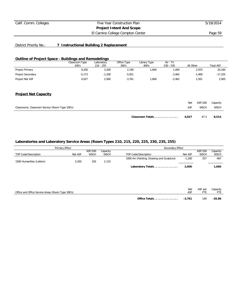El Camino College Compton Center **Page 59** 

# District Priority No.: **7 Instructional Building 2 Replacement**

### **Outline of Project Space - Buildings and Remodelings**

|                   | Classroom Type | Laboratory  | Office Type | Library Type | $AV - TV$   |           |                  |
|-------------------|----------------|-------------|-------------|--------------|-------------|-----------|------------------|
|                   | 100's          | $210 - 255$ | 300's       | 400's        | $530 - 535$ | All Other | <b>Total ASF</b> |
| Project Primary   | 9,200          | 3,200       | 2,190       | .600         | ,000        | 2.970     | 20,160           |
| Project Secondary | $-5.173$       | .200        | $-5,951$    |              | $-3.462$    | 1.469     | $-17,255$        |
| Project Net ASF   | 4,027          | 2,000       | $-3.761$    | .600         | $-2.462$    | .501      | 2.905            |

### **Project Net Capacity**

|                                                 | Classroom Totals | 4.027 | 47.3                 | 8.514       |
|-------------------------------------------------|------------------|-------|----------------------|-------------|
| Classrooms, Classroom Service (Room Type 100's) |                  | ASF   | <b>WSCH</b>          | <b>WSCH</b> |
|                                                 |                  |       | Net ASF/100 Capacity |             |

| <b>Primary Effect</b>     |         |             | Secondary Effect |                                            |          |             |             |  |
|---------------------------|---------|-------------|------------------|--------------------------------------------|----------|-------------|-------------|--|
|                           |         | ASF/100     | Capacity         |                                            |          | ASF/100     | Capacity    |  |
| TOP Code/Description      | Net ASF | <b>WSCH</b> | <b>WSCH</b>      | TOP Code/Description                       | Net ASF  | <b>WSCH</b> | <b>WSCH</b> |  |
| 1500 Humanities (Letters) | 3,200   | 150         | 2,133            | 1000 Art (Painting, Drawing and Sculpture) | $-1,200$ | 257         | $-467$      |  |
|                           |         |             |                  | Laboratory Totals                          | 2,000    |             | 1,666       |  |

| Office and Office Service Areas (Room Type 300's) |               | Net<br>ASF | ASF per | Capacity |
|---------------------------------------------------|---------------|------------|---------|----------|
|                                                   | Office Totals | -3.761     | 140     | -26.86   |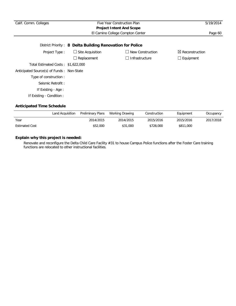| Calif. Comm. Colleges<br>Five Year Construction Plan<br><b>Project Intent And Scope</b> |                         |                                  | 5/19/2014                  |  |  |  |  |
|-----------------------------------------------------------------------------------------|-------------------------|----------------------------------|----------------------------|--|--|--|--|
|                                                                                         |                         | El Camino College Compton Center | Page 60                    |  |  |  |  |
| District Priority: 8 Delta Building Renovation for Police                               |                         |                                  |                            |  |  |  |  |
| Project Type:                                                                           | $\Box$ Site Acquisition | $\Box$ New Construction          | $\boxtimes$ Reconstruction |  |  |  |  |
|                                                                                         | Replacement             | $\Box$ Infrastructure            | $\Box$ Equipment           |  |  |  |  |
| Total Estimated Costs: \$1,622,000                                                      |                         |                                  |                            |  |  |  |  |
| Anticipated Source(s) of Funds: Non-State                                               |                         |                                  |                            |  |  |  |  |
| Type of construction:                                                                   |                         |                                  |                            |  |  |  |  |
| Seismic Retrofit:                                                                       |                         |                                  |                            |  |  |  |  |
| If Existing - Age :                                                                     |                         |                                  |                            |  |  |  |  |
| If Existing - Condition :                                                               |                         |                                  |                            |  |  |  |  |

|                       | Land Acquisition | Preliminary Plans | Working Drawing | Construction | Equipment | Occupancy |
|-----------------------|------------------|-------------------|-----------------|--------------|-----------|-----------|
| Year                  |                  | 2014/2015         | 2014/2015       | 2015/2016    | 2015/2016 | 2017/2018 |
| <b>Estimated Cost</b> |                  | \$52,000          | \$31,000        | \$728,000    | \$811,000 |           |

# **Explain why this project is needed:**

Renovate and reconfigure the Delta Child Care Facility #31 to house Campus Police functions after the Foster Care training functions are relocated to other instructional facilities.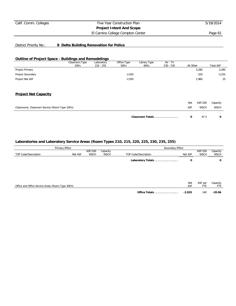El Camino College Compton Center **Page 61** 

# District Priority No.: **8 Delta Building Renovation for Police**

### **Outline of Project Space - Buildings and Remodelings**

|                                                 | Classroom Type<br>100's | Laboratory<br>$210 - 255$ | Office Type<br>300's | Library Type<br>400's | AV - TV<br>$530 - 535$ | All Other  |             | <b>Total ASF</b> |
|-------------------------------------------------|-------------------------|---------------------------|----------------------|-----------------------|------------------------|------------|-------------|------------------|
| Project Primary                                 |                         |                           |                      |                       |                        |            | 3,280       | 3,280            |
| Project Secondary                               |                         |                           | $-2,935$             |                       |                        |            | $-320$      | $-3,255$         |
| Project Net ASF                                 |                         |                           | $-2,935$             |                       |                        |            | 2,960       | 25               |
| <b>Project Net Capacity</b>                     |                         |                           |                      |                       |                        |            |             |                  |
|                                                 |                         |                           |                      |                       |                        | <b>Net</b> | ASF/100     | Capacity         |
| Classrooms, Classroom Service (Room Type 100's) |                         |                           |                      |                       |                        | ASF        | <b>WSCH</b> | <b>WSCH</b>      |
|                                                 |                         |                           |                      | Classroom Totals      |                        | 0          | 47.3        | $\mathbf{o}$     |

|                                                   | Primary Effect |                        |                         | Secondary Effect     |            |                        |                         |
|---------------------------------------------------|----------------|------------------------|-------------------------|----------------------|------------|------------------------|-------------------------|
| TOP Code/Description                              | Net ASF        | ASF/100<br><b>WSCH</b> | Capacity<br><b>WSCH</b> | TOP Code/Description | Net ASF    | ASF/100<br><b>WSCH</b> | Capacity<br><b>WSCH</b> |
|                                                   |                |                        |                         | Laboratory Totals    | 0          |                        | 0                       |
|                                                   |                |                        |                         |                      |            |                        |                         |
|                                                   |                |                        |                         |                      |            |                        |                         |
| Office and Office Service Areas (Room Type 300's) |                |                        |                         |                      | Net<br>ASF | ASF per<br>FTE         | Capacity<br>FTE         |
|                                                   |                |                        |                         | Office Totals        | $-2,935$   | 140                    | $-20.96$                |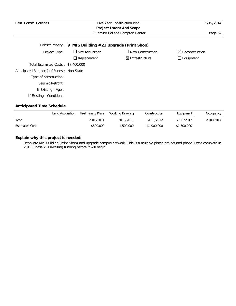| Calif. Comm. Colleges                                      | Five Year Construction Plan |                                  |                            |  |  |  |  |  |
|------------------------------------------------------------|-----------------------------|----------------------------------|----------------------------|--|--|--|--|--|
|                                                            |                             | <b>Project Intent And Scope</b>  |                            |  |  |  |  |  |
|                                                            |                             | El Camino College Compton Center | Page 62                    |  |  |  |  |  |
|                                                            |                             |                                  |                            |  |  |  |  |  |
| District Priority: 9 MIS Building #21 Upgrade (Print Shop) |                             |                                  |                            |  |  |  |  |  |
| Project Type:                                              | $\Box$ Site Acquisition     | $\Box$ New Construction          | $\boxtimes$ Reconstruction |  |  |  |  |  |
|                                                            | Replacement                 | $\boxtimes$ Infrastructure       | $\Box$ Equipment           |  |  |  |  |  |
| Total Estimated Costs: \$7,400,000                         |                             |                                  |                            |  |  |  |  |  |
| Anticipated Source(s) of Funds: Non-State                  |                             |                                  |                            |  |  |  |  |  |
| Type of construction :                                     |                             |                                  |                            |  |  |  |  |  |
| Seismic Retrofit:                                          |                             |                                  |                            |  |  |  |  |  |
| If Existing - Age:                                         |                             |                                  |                            |  |  |  |  |  |
| If Existing - Condition :                                  |                             |                                  |                            |  |  |  |  |  |

|                       | Land Acquisition | Preliminary Plans | Working Drawing | Construction | Equipment   | Occupancy |
|-----------------------|------------------|-------------------|-----------------|--------------|-------------|-----------|
| Year                  |                  | 2010/2011         | 2010/2011       | 2011/2012    | 2011/2012   | 2016/2017 |
| <b>Estimated Cost</b> |                  | \$500,000         | \$500,000       | \$4,900,000  | \$1,500,000 |           |

# **Explain why this project is needed:**

Renovate MIS Building (Print Shop) and upgrade campus network. This is a multiple phase project and phase 1 was complete in 2013. Phase 2 is awaiting funding before it will begin.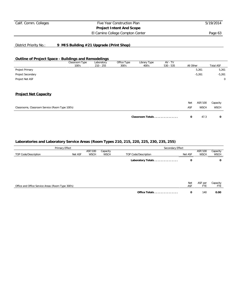El Camino College Compton Center **Page 63** 

### District Priority No.: **9 MIS Building #21 Upgrade (Print Shop)**

### **Outline of Project Space - Buildings and Remodelings**

|                                                 | Classroom Type<br>100's | Laboratory<br>$210 - 255$ | Office Type<br>300's | Library Type<br>400's | AV - TV<br>$530 - 535$ | All Other |          | <b>Total ASF</b> |
|-------------------------------------------------|-------------------------|---------------------------|----------------------|-----------------------|------------------------|-----------|----------|------------------|
| Project Primary                                 |                         |                           |                      |                       |                        |           | 5,261    | 5,261            |
| Project Secondary                               |                         |                           |                      |                       |                        |           | $-5,261$ | $-5,261$         |
| Project Net ASF                                 |                         |                           |                      |                       |                        |           |          | $\mathbf 0$      |
| <b>Project Net Capacity</b>                     |                         |                           |                      |                       |                        |           |          |                  |
|                                                 |                         |                           |                      |                       |                        | Net       | ASF/100  | Capacity         |
| Classrooms, Classroom Service (Room Type 100's) |                         | ASF                       |                      | <b>WSCH</b>           | <b>WSCH</b>            |           |          |                  |
|                                                 |                         |                           |                      | Classroom Totals      |                        | 0         | 47.3     | 0                |

|                                                   | Primary Effect |                        |                         | Secondary Effect     |            |                        |                         |  |
|---------------------------------------------------|----------------|------------------------|-------------------------|----------------------|------------|------------------------|-------------------------|--|
| TOP Code/Description                              | Net ASF        | ASF/100<br><b>WSCH</b> | Capacity<br><b>WSCH</b> | TOP Code/Description | Net ASF    | ASF/100<br><b>WSCH</b> | Capacity<br><b>WSCH</b> |  |
|                                                   |                |                        |                         | Laboratory Totals    | 0          |                        | 0                       |  |
|                                                   |                |                        |                         |                      |            |                        |                         |  |
|                                                   |                |                        |                         |                      |            |                        |                         |  |
| Office and Office Service Areas (Room Type 300's) |                |                        |                         |                      | Net<br>ASF | ASF per<br>FTE         | Capacity<br>FTE         |  |
|                                                   |                |                        |                         | Office Totals        | 0          | 140                    | 0.00                    |  |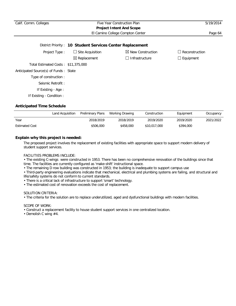# Calif. Comm. Colleges Five Year Construction Plan 5/19/2014 **Project Intent And Scope** El Camino College Compton Center **Page 64**

|                                       | District Priority: 10 Student Services Center Replacement |                              |                  |
|---------------------------------------|-----------------------------------------------------------|------------------------------|------------------|
| Project Type:                         | $\Box$ Site Acquisition                                   | $\boxtimes$ New Construction | Reconstruction   |
|                                       | $\boxtimes$ Replacement                                   | $\Box$ Infrastructure        | $\Box$ Equipment |
| Total Estimated Costs: \$11,375,000   |                                                           |                              |                  |
| Anticipated Source(s) of Funds: State |                                                           |                              |                  |
| Type of construction:                 |                                                           |                              |                  |
| Seismic Retrofit:                     |                                                           |                              |                  |
| If Existing - Age :                   |                                                           |                              |                  |
| If Existing - Condition :             |                                                           |                              |                  |

### **Anticipated Time Schedule**

|                       | Land Acquisition | Preliminary Plans | Working Drawing | Construction | Equipment | Occupancy |
|-----------------------|------------------|-------------------|-----------------|--------------|-----------|-----------|
| Year                  |                  | 2018/2019         | 2018/2019       | 2019/2020    | 2019/2020 | 2021/2022 |
| <b>Estimated Cost</b> |                  | \$506,000         | \$458,000       | \$10,017,000 | \$394,000 |           |

### **Explain why this project is needed:**

The proposed project involves the replacement of existing facilities with appropriate space to support modern delivery of student support services.

#### FACILITIES PROBLEMS INCLUDE:

• The existing C-wings were constructed in 1953. There has been no comprehensive renovation of the buildings since that time. The facilities are currently configured as 'make-shift' instructional space.

• The remaining D row building was constructed in 1953; the building is inadequate to support campus use

• Third-party engineering evaluations indicate that mechanical, electrical and plumbing systems are failing, and structural and life/safety systems do not conform to current standards.

- There is a critical lack of infrastructure to support 'smart' technology.
- The estimated cost of renovation exceeds the cost of replacement.

#### SOLUTION CRITERIA:

• The criteria for the solution are to replace underutilized, aged and dysfunctional buildings with modern facilities.

### SCOPE OF WORK:

- Construct a replacement facility to house student support services in one centralized location.
- Demolish C wing #4.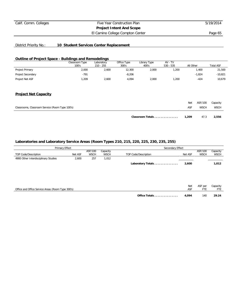El Camino College Compton Center **Page 65** 

# District Priority No.: **10 Student Services Center Replacement**

### **Outline of Project Space - Buildings and Remodelings**

|                   | Classroom Type | Laboratory  | Office Type | Library Type | $AV - TV$   |           |                  |
|-------------------|----------------|-------------|-------------|--------------|-------------|-----------|------------------|
|                   | 100's          | $210 - 255$ | 300's       | 400's        | $530 - 535$ | All Other | <b>Total ASF</b> |
| Project Primary   | 2,000          | 2,600       | 12,300      | 2,000        | .200        | .400      | 21,500           |
| Project Secondary | $-791$         |             | $-8.206$    |              |             | $-1.824$  | $-10.821$        |
| Project Net ASF   | .209           | 2.600       | 4.094       | 2.000        | .200        | $-424$    | 10.679           |

### **Project Net Capacity**

|                                                 | Classroom Totals | 1.209 | 47.3        | 2,556    |
|-------------------------------------------------|------------------|-------|-------------|----------|
| Classrooms, Classroom Service (Room Type 100's) |                  | ASF   | <b>WSCH</b> | WSCH     |
|                                                 |                  | Net   | ASF/100     | Capacity |

| Primary Effect                                    |         |                        |                         | Secondary Effect     |            |                        |                         |  |
|---------------------------------------------------|---------|------------------------|-------------------------|----------------------|------------|------------------------|-------------------------|--|
| TOP Code/Description                              | Net ASF | ASF/100<br><b>WSCH</b> | Capacity<br><b>WSCH</b> | TOP Code/Description | Net ASF    | ASF/100<br><b>WSCH</b> | Capacity<br><b>WSCH</b> |  |
| 4900 Other Interdisciplinary Studies              | 2,600   | 257                    | 1,012                   |                      |            |                        |                         |  |
|                                                   |         |                        |                         | Laboratory Totals    | 2,600      |                        | 1,012                   |  |
|                                                   |         |                        |                         |                      |            |                        |                         |  |
| Office and Office Service Areas (Room Type 300's) |         |                        |                         |                      | Net<br>ASF | ASF per<br><b>FTE</b>  | Capacity<br>FTE         |  |
|                                                   |         |                        |                         | Office Totals        | 4.094      | 140                    | 29.24                   |  |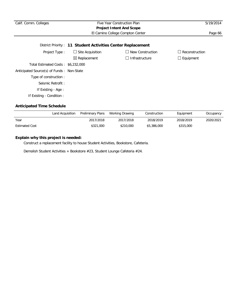| Calif. Comm. Colleges                                       |                         | Five Year Construction Plan     | 5/19/2014        |  |  |  |  |  |
|-------------------------------------------------------------|-------------------------|---------------------------------|------------------|--|--|--|--|--|
|                                                             |                         | <b>Project Intent And Scope</b> |                  |  |  |  |  |  |
|                                                             | Page 66                 |                                 |                  |  |  |  |  |  |
| District Priority: 11 Student Activities Center Replacement |                         |                                 |                  |  |  |  |  |  |
| Project Type:                                               | $\Box$ Site Acquisition | $\Box$ New Construction         | Reconstruction   |  |  |  |  |  |
|                                                             | $\boxtimes$ Replacement | $\Box$ Infrastructure           | $\Box$ Equipment |  |  |  |  |  |
| Total Estimated Costs: \$6,232,000                          |                         |                                 |                  |  |  |  |  |  |
| Anticipated Source(s) of Funds: Non-State                   |                         |                                 |                  |  |  |  |  |  |
| Type of construction:                                       |                         |                                 |                  |  |  |  |  |  |
| Seismic Retrofit:                                           |                         |                                 |                  |  |  |  |  |  |
| If Existing - Age:                                          |                         |                                 |                  |  |  |  |  |  |
| If Existing - Condition :                                   |                         |                                 |                  |  |  |  |  |  |

|                       | Land Acquisition | Preliminary Plans | Working Drawing | Construction | Equipment | Occupancy |
|-----------------------|------------------|-------------------|-----------------|--------------|-----------|-----------|
| Year                  |                  | 2017/2018         | 2017/2018       | 2018/2019    | 2018/2019 | 2020/2021 |
| <b>Estimated Cost</b> |                  | \$321,000         | \$210,000       | \$5,386,000  | \$315,000 |           |

# **Explain why this project is needed:**

Construct a replacement facility to house Student Activities, Bookstore, Cafeteria.

Demolish Student Activities + Bookstore #23, Student Lounge Cafeteria #24.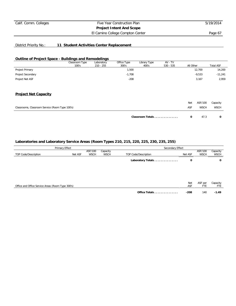El Camino College Compton Center **Page 67** 

# District Priority No.: **11 Student Activities Center Replacement**

#### **Outline of Project Space - Buildings and Remodelings**

|                                                 | Classroom Type<br>100's | Laboratory<br>$210 - 255$ | Office Type<br>300's | Library Type<br>400's | AV - TV<br>$530 - 535$ | All Other |             | <b>Total ASF</b> |
|-------------------------------------------------|-------------------------|---------------------------|----------------------|-----------------------|------------------------|-----------|-------------|------------------|
| Project Primary                                 |                         |                           | 1,500                |                       |                        |           | 12,700      | 14,200           |
| Project Secondary                               |                         |                           | $-1,708$             |                       |                        |           | $-9,533$    | $-11,241$        |
| Project Net ASF                                 |                         |                           | $-208$               |                       |                        |           | 3,167       | 2,959            |
| <b>Project Net Capacity</b>                     |                         |                           |                      |                       |                        |           |             |                  |
|                                                 |                         |                           |                      |                       |                        | Net       | ASF/100     | Capacity         |
| Classrooms, Classroom Service (Room Type 100's) |                         |                           |                      |                       |                        | ASF       | <b>WSCH</b> | <b>WSCH</b>      |
|                                                 |                         |                           |                      | Classroom Totals      |                        | 0         | 47.3        | 0                |

|                                                   | Primary Effect |             |             | Secondary Effect     |            |                |                 |  |
|---------------------------------------------------|----------------|-------------|-------------|----------------------|------------|----------------|-----------------|--|
|                                                   |                | ASF/100     | Capacity    |                      |            | ASF/100        | Capacity        |  |
| TOP Code/Description                              | Net ASF        | <b>WSCH</b> | <b>WSCH</b> | TOP Code/Description | Net ASF    | <b>WSCH</b>    | <b>WSCH</b>     |  |
|                                                   |                |             |             | Laboratory Totals    | 0          |                | 0               |  |
|                                                   |                |             |             |                      |            |                |                 |  |
|                                                   |                |             |             |                      |            |                |                 |  |
| Office and Office Service Areas (Room Type 300's) |                |             |             |                      | Net<br>ASF | ASF per<br>FTE | Capacity<br>FTE |  |
|                                                   |                |             |             | Office Totals        | $-208$     | 140            | $-1.49$         |  |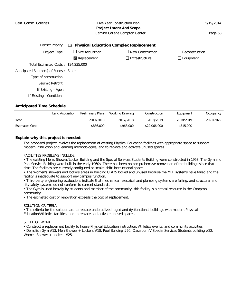| Calif. Comm. Colleges                 |                                                              | Five Year Construction Plan      | 5/19/2014             |
|---------------------------------------|--------------------------------------------------------------|----------------------------------|-----------------------|
|                                       |                                                              | <b>Project Intent And Scope</b>  |                       |
|                                       |                                                              | El Camino College Compton Center | Page 68               |
|                                       | District Priority: 12 Physical Education Complex Replacement |                                  |                       |
| Project Type:                         | $\Box$ Site Acquisition                                      | New Construction                 | $\Box$ Reconstruction |
|                                       | $\boxtimes$ Replacement                                      | Infrastructure<br>×.             | $\Box$ Equipment      |
| Total Estimated Costs: \$24,235,000   |                                                              |                                  |                       |
| Anticipated Source(s) of Funds: State |                                                              |                                  |                       |
| Type of construction:                 |                                                              |                                  |                       |
| Seismic Retrofit:                     |                                                              |                                  |                       |
| If Existing - Age :                   |                                                              |                                  |                       |

If Existing - Condition :

### **Anticipated Time Schedule**

|                       | Land Acquisition | Preliminary Plans | Working Drawing | Construction | Equipment | Occupancy |
|-----------------------|------------------|-------------------|-----------------|--------------|-----------|-----------|
| Year                  |                  | 2017/2018         | 2017/2018       | 2018/2019    | 2018/2019 | 2021/2022 |
| <b>Estimated Cost</b> |                  | \$886,000         | \$968,000       | \$22,066,000 | \$315,000 |           |

### **Explain why this project is needed:**

The proposed project involves the replacement of existing Physical Education facilities with appropriate space to support modern instruction and learning methodologies, and to replace and activate unused spaces.

#### FACILITIES PROBLEMS INCLUDE:

• The existing Men's Shower/Locker Building and the Special Services Students Building were constructed in 1953. The Gym and Pool Service Building were built in the early 1960s. There has been no comprehensive renovation of the buildings since that time. The facilities are currently configured as 'make-shift' instructional space.

• The Women's showers and lockers areas in Building U #25 locked and unused because the MEP systems have failed and the facility is inadequate to support any campus function.

• Third-party engineering evaluations indicate that mechanical, electrical and plumbing systems are failing, and structural and life/safety systems do not conform to current standards.

• The Gym is used heavily by students and member of the community; this facility is a critical resource in the Compton community.

• The estimated cost of renovation exceeds the cost of replacement.

### SOLUTION CRITERIA:

• The criteria for the solution are to replace underutilized, aged and dysfunctional buildings with modern Physical Education/Athletics facilities, and to replace and activate unused spaces.

#### SCOPE OF WORK:

• Construct a replacement facility to house Physical Education instruction, Athletics events, and community activities.

• Demolish Gym #13, Men Shower + Lockers #18, Pool Building #20, Classroom V Special Services Students building #22, Women Shower + Lockers #25.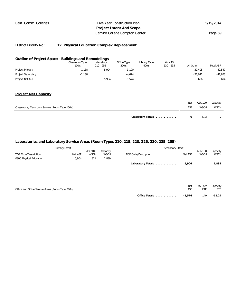El Camino College Compton Center **Page 69** 

# District Priority No.: **12 Physical Education Complex Replacement**

#### **Outline of Project Space - Buildings and Remodelings**

|                                                 | Classroom Type<br>100's | Laboratory<br>$210 - 255$ | Office Type<br>300's | Library Type<br>400's | AV - TV<br>$530 - 535$ | All Other  |             | <b>Total ASF</b> |
|-------------------------------------------------|-------------------------|---------------------------|----------------------|-----------------------|------------------------|------------|-------------|------------------|
| Project Primary                                 | 1,138                   | 5,904                     | 3,100                |                       |                        |            | 32,405      | 42,547           |
| Project Secondary                               | $-1,138$                |                           | $-4,674$             |                       |                        |            | $-36,041$   | $-41,853$        |
| Project Net ASF                                 |                         | 5,904                     | $-1,574$             |                       |                        |            | $-3,636$    | 694              |
| <b>Project Net Capacity</b>                     |                         |                           |                      |                       |                        |            |             |                  |
|                                                 |                         |                           |                      |                       |                        | <b>Net</b> | ASF/100     | Capacity         |
| Classrooms, Classroom Service (Room Type 100's) |                         |                           |                      |                       |                        | ASF        | <b>WSCH</b> | <b>WSCH</b>      |
|                                                 |                         |                           |                      | Classroom Totals      |                        | 0          | 47.3        | O                |

|                                                   | Primary Effect |                        |                         | Secondary Effect     |            |                        |                         |
|---------------------------------------------------|----------------|------------------------|-------------------------|----------------------|------------|------------------------|-------------------------|
| TOP Code/Description                              | Net ASF        | ASF/100<br><b>WSCH</b> | Capacity<br><b>WSCH</b> | TOP Code/Description | Net ASF    | ASF/100<br><b>WSCH</b> | Capacity<br><b>WSCH</b> |
| 0800 Physical Education                           | 5,904          | 321                    | 1,839                   |                      |            |                        |                         |
|                                                   |                |                        |                         | Laboratory Totals    | 5,904      |                        | 1,839                   |
|                                                   |                |                        |                         |                      |            |                        |                         |
|                                                   |                |                        |                         |                      |            |                        |                         |
|                                                   |                |                        |                         |                      |            |                        |                         |
| Office and Office Service Areas (Room Type 300's) |                |                        |                         |                      | Net<br>ASF | ASF per<br>FTE         | Capacity<br>FTE         |
|                                                   |                |                        |                         | Office Totals        | $-1,574$   | 140                    | $-11.24$                |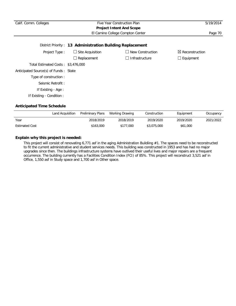| Calif. Comm. Colleges                 | 5/19/2014                                                 |                       |                            |
|---------------------------------------|-----------------------------------------------------------|-----------------------|----------------------------|
|                                       | <b>Project Intent And Scope</b>                           |                       |                            |
|                                       | El Camino College Compton Center                          | Page 70               |                            |
|                                       | District Priority: 13 Administration Building Replacement |                       |                            |
| Project Type:                         | $\Box$ Site Acquisition                                   | New Construction      | $\boxtimes$ Reconstruction |
|                                       | Replacement                                               | $\Box$ Infrastructure | $\Box$ Equipment           |
| Total Estimated Costs: \$3,476,000    |                                                           |                       |                            |
| Anticipated Source(s) of Funds: State |                                                           |                       |                            |
| Type of construction:                 |                                                           |                       |                            |
| Seismic Retrofit:                     |                                                           |                       |                            |
| If Existing - Age:                    |                                                           |                       |                            |
| If Existing - Condition :             |                                                           |                       |                            |

|                       | Land Acquisition | Preliminary Plans | Working Drawing | Construction | Equipment | Occupancy |
|-----------------------|------------------|-------------------|-----------------|--------------|-----------|-----------|
| Year                  |                  | 2018/2019         | 2018/2019       | 2019/2020    | 2019/2020 | 2021/2022 |
| <b>Estimated Cost</b> |                  | \$163,000         | \$177.000       | \$3,075,000  | \$61,000  |           |

# **Explain why this project is needed:**

This project will consist of renovating 6,771 asf in the aging Administration Buildiing #1. The spaces need to be reconstructed to fit the current administrative and student services needs. This building was constructed in 1953 and has had no major upgrades since then. The buildings infrastructure systems have outlived their useful lives and major repairs are a frequent occurrence. The building currently has a Facilities Condition Index (FCI) of 85%. This project will reconstruct 3,521 asf in Office, 1,550 asf in Study space and 1,700 asf in Other space.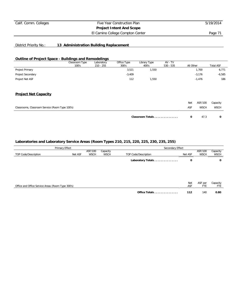El Camino College Compton Center **Page 71** 

# District Priority No.: **13 Administration Building Replacement**

#### **Outline of Project Space - Buildings and Remodelings**

|                                                 | Classroom Type<br>100's | Laboratory<br>$210 - 255$ | Office Type<br>300's | Library Type<br>400's | AV - TV<br>$530 - 535$ | All Other |             | <b>Total ASF</b> |
|-------------------------------------------------|-------------------------|---------------------------|----------------------|-----------------------|------------------------|-----------|-------------|------------------|
| Project Primary                                 |                         |                           | 3,521                | 1,550                 |                        |           | 1,700       | 6,771            |
| Project Secondary                               |                         |                           | $-3,409$             |                       |                        |           | $-3,176$    | $-6,585$         |
| Project Net ASF                                 |                         |                           | 112                  | 1,550                 |                        |           | $-1,476$    | 186              |
| <b>Project Net Capacity</b>                     |                         |                           |                      |                       |                        |           |             |                  |
|                                                 |                         |                           |                      |                       |                        | Net       | ASF/100     | Capacity         |
| Classrooms, Classroom Service (Room Type 100's) |                         |                           |                      |                       |                        | ASF       | <b>WSCH</b> | <b>WSCH</b>      |
|                                                 |                         |                           |                      | Classroom Totals      |                        | 0         | 47.3        | 0                |

| Primary Effect                                    |                            |  | Secondary Effect        |                      |            |                        |                         |  |
|---------------------------------------------------|----------------------------|--|-------------------------|----------------------|------------|------------------------|-------------------------|--|
| TOP Code/Description                              | ASF/100<br>WSCH<br>Net ASF |  | Capacity<br><b>WSCH</b> | TOP Code/Description | Net ASF    | ASF/100<br><b>WSCH</b> | Capacity<br><b>WSCH</b> |  |
|                                                   |                            |  |                         | Laboratory Totals    | o          |                        | 0                       |  |
|                                                   |                            |  |                         |                      |            |                        |                         |  |
|                                                   |                            |  |                         |                      |            |                        |                         |  |
| Office and Office Service Areas (Room Type 300's) |                            |  |                         |                      | Net<br>ASF | ASF per<br>FTE         | Capacity<br>FTE         |  |
|                                                   |                            |  |                         | Office Totals        | 112        | 140                    | 0.80                    |  |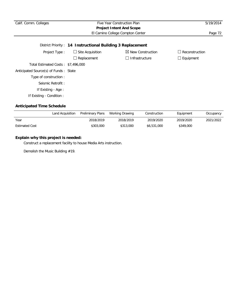| Calif. Comm. Colleges                                      | Five Year Construction Plan<br><b>Project Intent And Scope</b> | 5/19/2014                    |                                  |  |  |  |  |  |  |
|------------------------------------------------------------|----------------------------------------------------------------|------------------------------|----------------------------------|--|--|--|--|--|--|
|                                                            | Page 72                                                        |                              |                                  |  |  |  |  |  |  |
| District Priority: 14 Instructional Building 3 Replacement |                                                                |                              |                                  |  |  |  |  |  |  |
| Project Type:                                              | $\Box$ Site Acquisition                                        | $\boxtimes$ New Construction | Reconstruction<br>$\blacksquare$ |  |  |  |  |  |  |
|                                                            | $\Box$ Replacement                                             | $\Box$ Infrastructure        | $\Box$ Equipment                 |  |  |  |  |  |  |
| Total Estimated Costs: \$7,496,000                         |                                                                |                              |                                  |  |  |  |  |  |  |
| Anticipated Source(s) of Funds: State                      |                                                                |                              |                                  |  |  |  |  |  |  |
| Type of construction:                                      |                                                                |                              |                                  |  |  |  |  |  |  |
| Seismic Retrofit:                                          |                                                                |                              |                                  |  |  |  |  |  |  |
| If Existing - Age :                                        |                                                                |                              |                                  |  |  |  |  |  |  |
| If Existing - Condition :                                  |                                                                |                              |                                  |  |  |  |  |  |  |

## **Anticipated Time Schedule**

|                       | Land Acquisition | <b>Preliminary Plans</b> | Working Drawing | Construction | Equipment | Occupancy |
|-----------------------|------------------|--------------------------|-----------------|--------------|-----------|-----------|
| Year                  |                  | 2018/2019                | 2018/2019       | 2019/2020    | 2019/2020 | 2021/2022 |
| <b>Estimated Cost</b> |                  | \$303,000                | \$313,000       | \$6,531,000  | \$349,000 |           |

# **Explain why this project is needed:**

Construct a replacement faciilty to house Media Arts instruction.

Demolish the Music Building #19.